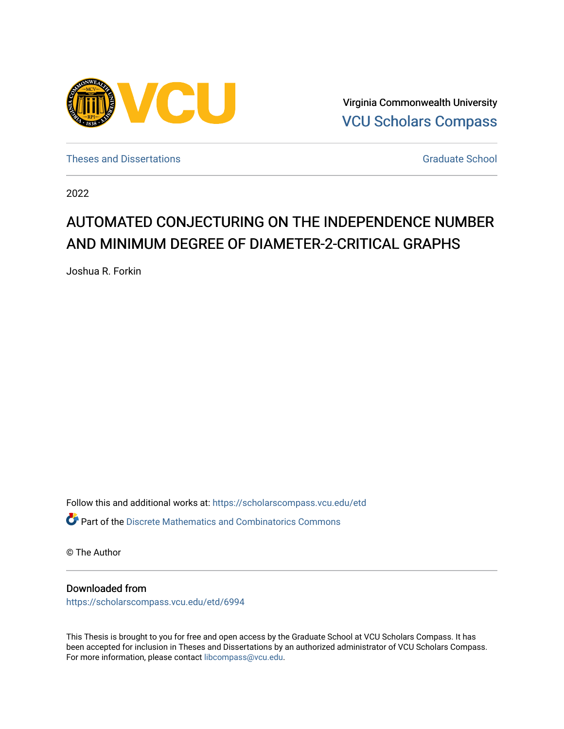

Virginia Commonwealth University [VCU Scholars Compass](https://scholarscompass.vcu.edu/) 

[Theses and Dissertations](https://scholarscompass.vcu.edu/etd) [Graduate School](https://scholarscompass.vcu.edu/gradschool) and Dissertations Graduate School and Dissertations Graduate School and Dissertations Graduate School and Dissertations Graduate School and Dissertations Graduate School and Dissert

2022

### AUTOMATED CONJECTURING ON THE INDEPENDENCE NUMBER AND MINIMUM DEGREE OF DIAMETER-2-CRITICAL GRAPHS

Joshua R. Forkin

Follow this and additional works at: [https://scholarscompass.vcu.edu/etd](https://scholarscompass.vcu.edu/etd?utm_source=scholarscompass.vcu.edu%2Fetd%2F6994&utm_medium=PDF&utm_campaign=PDFCoverPages)  Part of the [Discrete Mathematics and Combinatorics Commons](https://network.bepress.com/hgg/discipline/178?utm_source=scholarscompass.vcu.edu%2Fetd%2F6994&utm_medium=PDF&utm_campaign=PDFCoverPages) 

© The Author

#### Downloaded from

[https://scholarscompass.vcu.edu/etd/6994](https://scholarscompass.vcu.edu/etd/6994?utm_source=scholarscompass.vcu.edu%2Fetd%2F6994&utm_medium=PDF&utm_campaign=PDFCoverPages) 

This Thesis is brought to you for free and open access by the Graduate School at VCU Scholars Compass. It has been accepted for inclusion in Theses and Dissertations by an authorized administrator of VCU Scholars Compass. For more information, please contact [libcompass@vcu.edu](mailto:libcompass@vcu.edu).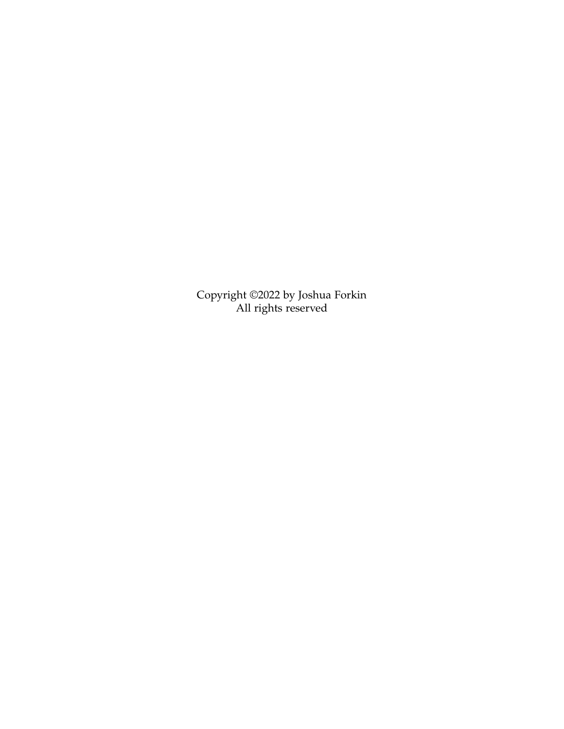Copyright ©2022 by Joshua Forkin All rights reserved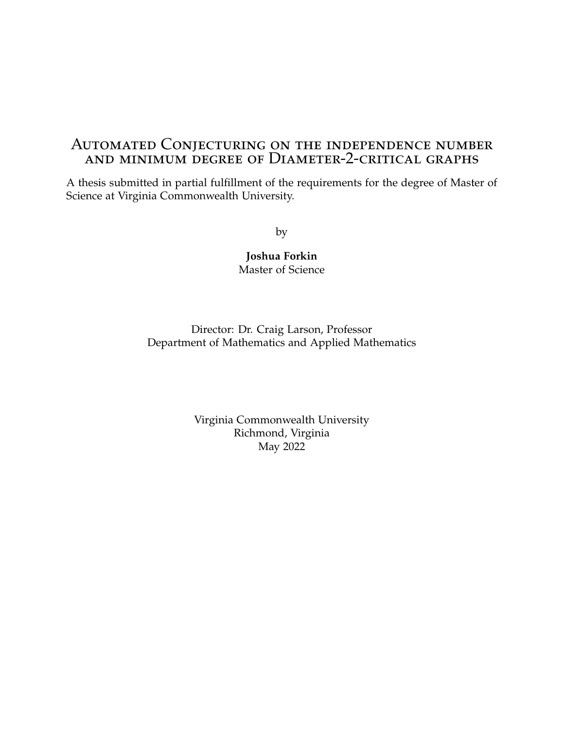### Automated Conjecturing on the independence number and minimum degree of Diameter-2-critical graphs

A thesis submitted in partial fulfillment of the requirements for the degree of Master of Science at Virginia Commonwealth University.

by

**Joshua Forkin** Master of Science

Director: Dr. Craig Larson, Professor Department of Mathematics and Applied Mathematics

> Virginia Commonwealth University Richmond, Virginia May 2022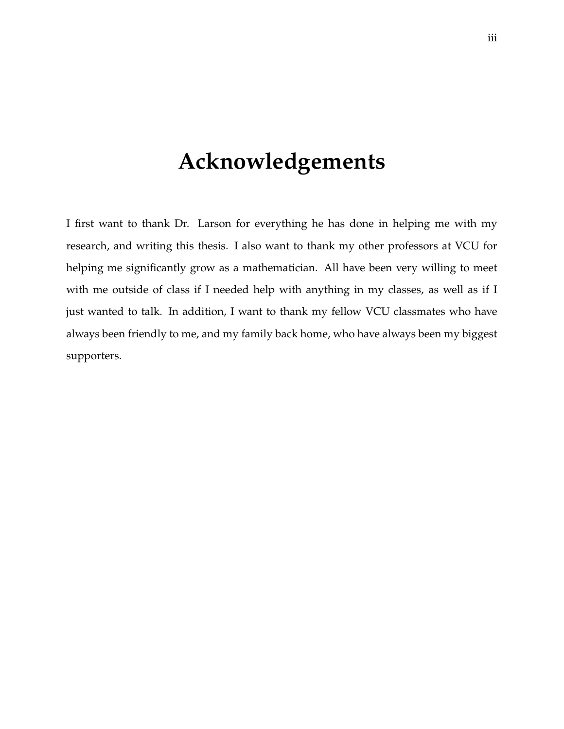## <span id="page-3-0"></span>**Acknowledgements**

I first want to thank Dr. Larson for everything he has done in helping me with my research, and writing this thesis. I also want to thank my other professors at VCU for helping me significantly grow as a mathematician. All have been very willing to meet with me outside of class if I needed help with anything in my classes, as well as if I just wanted to talk. In addition, I want to thank my fellow VCU classmates who have always been friendly to me, and my family back home, who have always been my biggest supporters.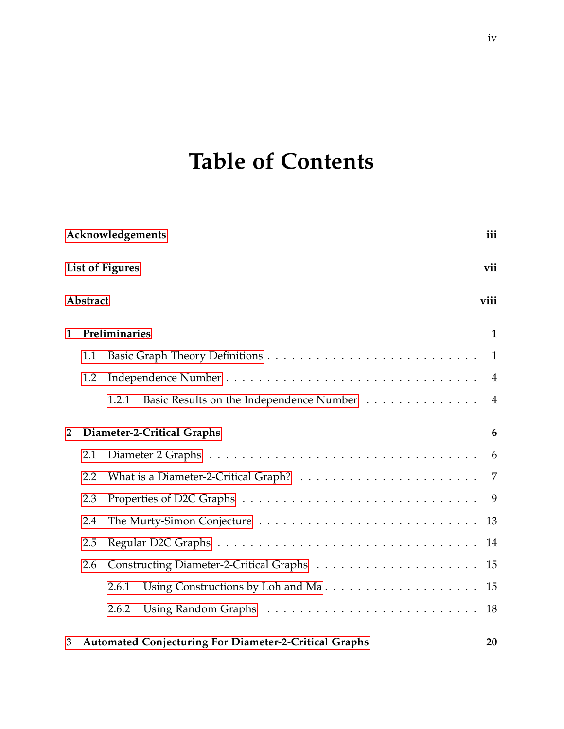# **Table of Contents**

|                    | Acknowledgements |                                                                                                |                |  |
|--------------------|------------------|------------------------------------------------------------------------------------------------|----------------|--|
|                    |                  | <b>List of Figures</b>                                                                         | vii            |  |
|                    | Abstract         |                                                                                                | viii           |  |
| Preliminaries<br>1 |                  |                                                                                                |                |  |
|                    | 1.1              |                                                                                                |                |  |
|                    | 1.2              |                                                                                                | $\overline{4}$ |  |
|                    |                  | Basic Results on the Independence Number<br>1.2.1                                              | $\overline{4}$ |  |
| $\overline{2}$     |                  | Diameter-2-Critical Graphs                                                                     | 6              |  |
|                    | 2.1              |                                                                                                | 6              |  |
|                    | 2.2              | What is a Diameter-2-Critical Graph? $\ldots \ldots \ldots \ldots \ldots \ldots \ldots \ldots$ |                |  |
|                    | 2.3              |                                                                                                |                |  |
|                    | 2.4              |                                                                                                | 13             |  |
|                    | 2.5              |                                                                                                | 14             |  |
|                    | 2.6              |                                                                                                | 15             |  |
|                    |                  | Using Constructions by Loh and Ma<br>2.6.1                                                     | 15             |  |
|                    |                  | 2.6.2                                                                                          | 18             |  |
| 3                  |                  | <b>Automated Conjecturing For Diameter-2-Critical Graphs</b>                                   | 20             |  |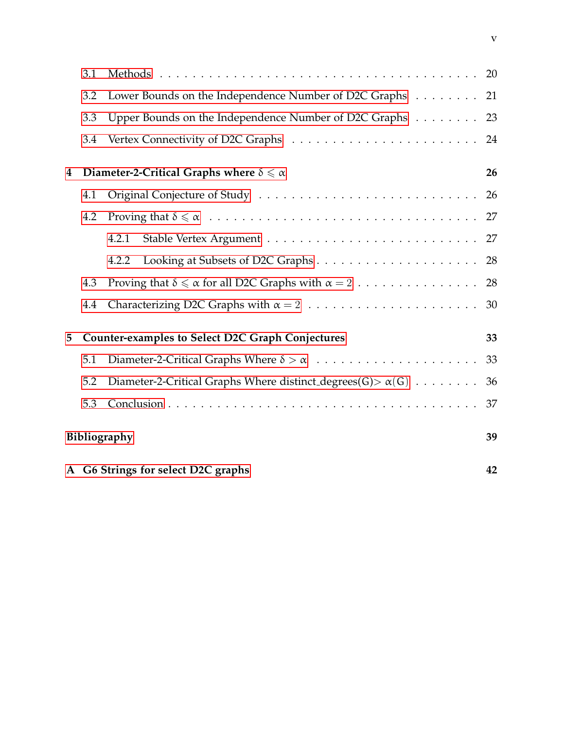|     | 3.1                                                   |                                                                        |    |
|-----|-------------------------------------------------------|------------------------------------------------------------------------|----|
|     | 3.2                                                   | Lower Bounds on the Independence Number of D2C Graphs 21               |    |
|     | 3.3                                                   | Upper Bounds on the Independence Number of D2C Graphs 23               |    |
|     | 3.4                                                   |                                                                        |    |
| 4   | Diameter-2-Critical Graphs where $\delta \leq \alpha$ | 26                                                                     |    |
|     | 4.1                                                   |                                                                        | 26 |
| 4.2 |                                                       |                                                                        |    |
|     |                                                       | 4.2.1                                                                  |    |
|     |                                                       | 4.2.2                                                                  |    |
|     | 4.3                                                   |                                                                        |    |
|     | 4.4                                                   |                                                                        |    |
| 5   |                                                       | Counter-examples to Select D2C Graph Conjectures                       | 33 |
|     | 5.1                                                   |                                                                        |    |
|     | 5.2                                                   | Diameter-2-Critical Graphs Where distinct_degrees(G) > $\alpha$ (G) 36 |    |
|     | 5.3                                                   |                                                                        | 37 |
|     |                                                       | Bibliography                                                           | 39 |
|     |                                                       | A G6 Strings for select D2C graphs                                     | 42 |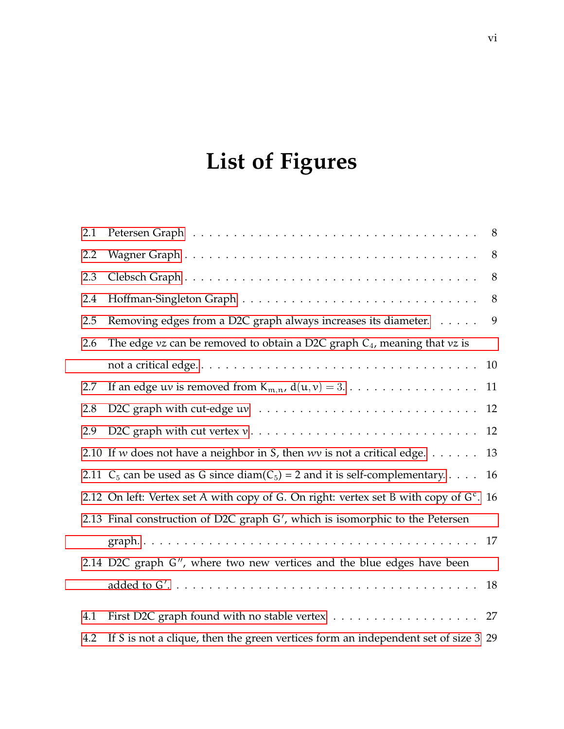# <span id="page-6-0"></span>**List of Figures**

| 2.1 |                                                                                           |    |
|-----|-------------------------------------------------------------------------------------------|----|
| 2.2 |                                                                                           | 8  |
| 2.3 |                                                                                           | 8  |
| 2.4 |                                                                                           | 8  |
| 2.5 | Removing edges from a D2C graph always increases its diameter.                            | 9  |
| 2.6 | The edge $vz$ can be removed to obtain a D2C graph $C_4$ , meaning that $vz$ is           |    |
|     |                                                                                           | 10 |
| 2.7 |                                                                                           | 11 |
| 2.8 |                                                                                           | 12 |
| 2.9 |                                                                                           | 12 |
|     | 2.10 If w does not have a neighbor in S, then wv is not a critical edge. $\dots \dots$ 13 |    |
|     | 2.11 $C_5$ can be used as G since diam( $C_5$ ) = 2 and it is self-complementary 16       |    |
|     | 2.12 On left: Vertex set A with copy of G. On right: vertex set B with copy of $Gc$ . 16  |    |
|     | 2.13 Final construction of D2C graph G', which is isomorphic to the Petersen              |    |
|     |                                                                                           |    |
|     | 2.14 D2C graph G", where two new vertices and the blue edges have been                    |    |
|     |                                                                                           | 18 |
| 4.1 |                                                                                           | 27 |
| 4.2 | If S is not a clique, then the green vertices form an independent set of size 3 29        |    |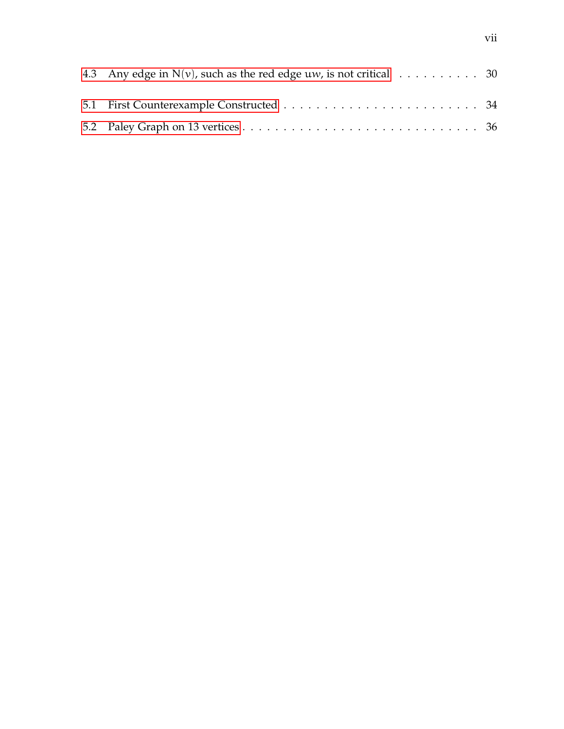| 4.3 Any edge in $N(v)$ , such as the red edge uw, is not critical 30 |  |
|----------------------------------------------------------------------|--|
|                                                                      |  |
|                                                                      |  |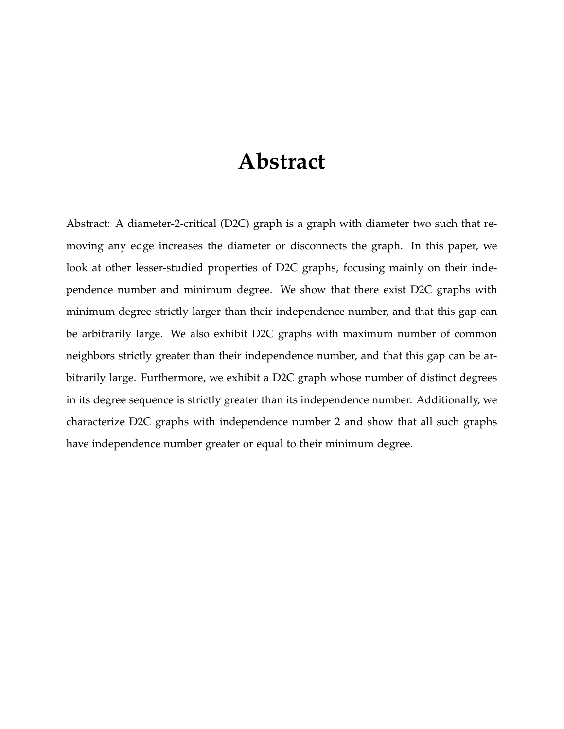### **Abstract**

<span id="page-8-0"></span>Abstract: A diameter-2-critical (D2C) graph is a graph with diameter two such that removing any edge increases the diameter or disconnects the graph. In this paper, we look at other lesser-studied properties of D2C graphs, focusing mainly on their independence number and minimum degree. We show that there exist D2C graphs with minimum degree strictly larger than their independence number, and that this gap can be arbitrarily large. We also exhibit D2C graphs with maximum number of common neighbors strictly greater than their independence number, and that this gap can be arbitrarily large. Furthermore, we exhibit a D2C graph whose number of distinct degrees in its degree sequence is strictly greater than its independence number. Additionally, we characterize D2C graphs with independence number 2 and show that all such graphs have independence number greater or equal to their minimum degree.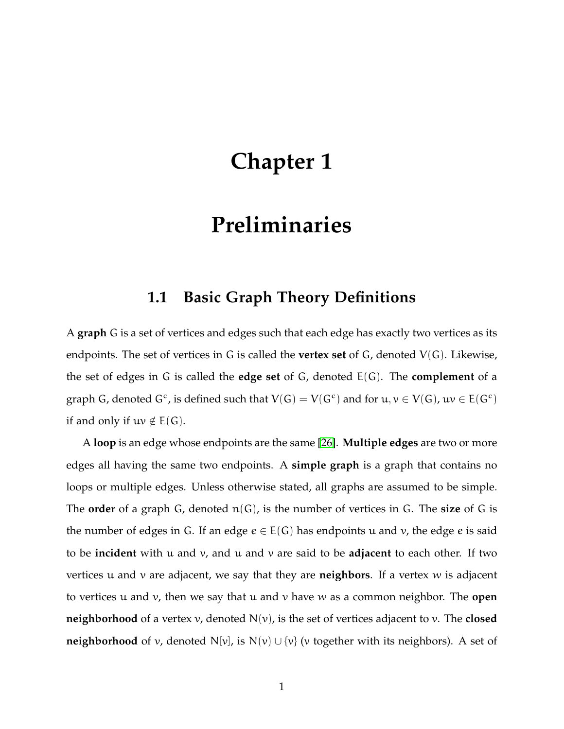### <span id="page-9-0"></span>**Chapter 1**

### **Preliminaries**

### **1.1 Basic Graph Theory Definitions**

<span id="page-9-1"></span>A **graph** G is a set of vertices and edges such that each edge has exactly two vertices as its endpoints. The set of vertices in G is called the **vertex set** of G, denoted V(G). Likewise, the set of edges in G is called the **edge set** of G, denoted E(G). The **complement** of a graph G, denoted G<sup>c</sup>, is defined such that  $V(G) = V(G^c)$  and for  $u, v \in V(G)$ ,  $uv \in E(G^c)$ if and only if  $uv \notin E(G)$ .

A **loop** is an edge whose endpoints are the same [\[26\]](#page-49-0). **Multiple edges** are two or more edges all having the same two endpoints. A **simple graph** is a graph that contains no loops or multiple edges. Unless otherwise stated, all graphs are assumed to be simple. The **order** of a graph G, denoted n(G), is the number of vertices in G. The **size** of G is the number of edges in G. If an edge  $e \in E(G)$  has endpoints u and v, the edge e is said to be **incident** with u and v, and u and v are said to be **adjacent** to each other. If two vertices u and v are adjacent, we say that they are **neighbors**. If a vertex w is adjacent to vertices u and v, then we say that u and v have w as a common neighbor. The **open neighborhood** of a vertex v, denoted  $N(v)$ , is the set of vertices adjacent to v. The **closed neighborhood** of v, denoted N[v], is N(v)  $\cup$  {v} (v together with its neighbors). A set of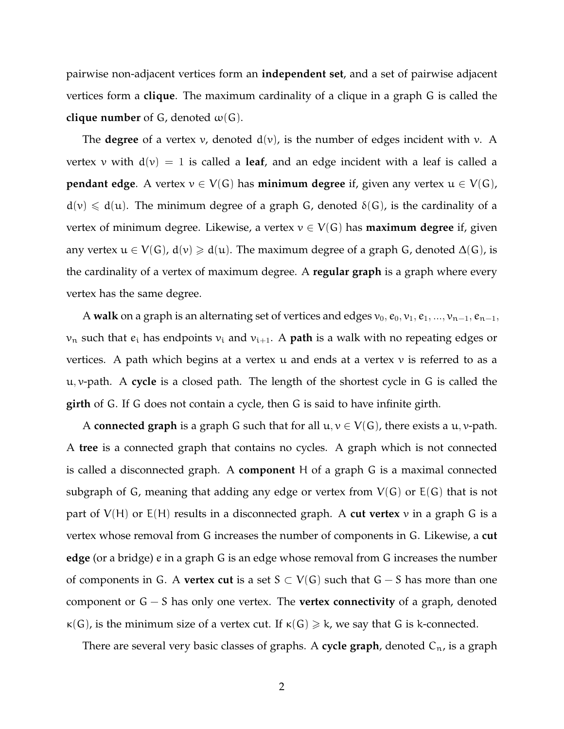pairwise non-adjacent vertices form an **independent set**, and a set of pairwise adjacent vertices form a **clique**. The maximum cardinality of a clique in a graph G is called the **clique number** of G, denoted  $\omega(G)$ .

The **degree** of a vertex  $v$ , denoted  $d(v)$ , is the number of edges incident with  $v$ . A vertex v with  $d(v) = 1$  is called a **leaf**, and an edge incident with a leaf is called a **pendant edge**. A vertex  $v \in V(G)$  has **minimum degree** if, given any vertex  $u \in V(G)$ ,  $d(v) \le d(u)$ . The minimum degree of a graph G, denoted  $\delta(G)$ , is the cardinality of a vertex of minimum degree. Likewise, a vertex  $v \in V(G)$  has **maximum degree** if, given any vertex  $u \in V(G)$ ,  $d(v) \geq d(u)$ . The maximum degree of a graph G, denoted  $\Delta(G)$ , is the cardinality of a vertex of maximum degree. A **regular graph** is a graph where every vertex has the same degree.

A **walk** on a graph is an alternating set of vertices and edges  $v_0, e_0, v_1, e_1, ..., v_{n-1}, e_{n-1},$  $v_n$  such that  $e_i$  has endpoints  $v_i$  and  $v_{i+1}$ . A **path** is a walk with no repeating edges or vertices. A path which begins at a vertex  $u$  and ends at a vertex  $v$  is referred to as a u, v-path. A **cycle** is a closed path. The length of the shortest cycle in G is called the **girth** of G. If G does not contain a cycle, then G is said to have infinite girth.

A **connected graph** is a graph G such that for all  $u, v \in V(G)$ , there exists a  $u, v$ -path. A **tree** is a connected graph that contains no cycles. A graph which is not connected is called a disconnected graph. A **component** H of a graph G is a maximal connected subgraph of G, meaning that adding any edge or vertex from  $V(G)$  or  $E(G)$  that is not part of V(H) or E(H) results in a disconnected graph. A **cut vertex** v in a graph G is a vertex whose removal from G increases the number of components in G. Likewise, a **cut edge** (or a bridge) e in a graph G is an edge whose removal from G increases the number of components in G. A **vertex cut** is a set S ⊂ V(G) such that G − S has more than one component or G − S has only one vertex. The **vertex connectivity** of a graph, denoted  $\kappa(G)$ , is the minimum size of a vertex cut. If  $\kappa(G) \geq k$ , we say that G is k-connected.

There are several very basic classes of graphs. A **cycle graph**, denoted  $C_n$ , is a graph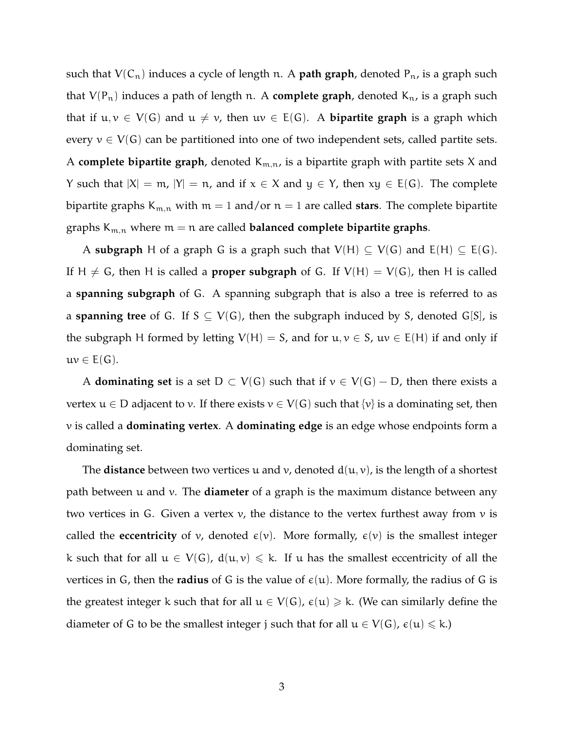such that  $V(C_n)$  induces a cycle of length n. A **path graph**, denoted  $P_n$ , is a graph such that  $V(P_n)$  induces a path of length n. A **complete graph**, denoted  $K_n$ , is a graph such that if  $u, v \in V(G)$  and  $u \neq v$ , then  $uv \in E(G)$ . A **bipartite graph** is a graph which every  $v \in V(G)$  can be partitioned into one of two independent sets, called partite sets. A **complete bipartite graph**, denoted  $K_{m,n}$  is a bipartite graph with partite sets X and Y such that  $|X| = m$ ,  $|Y| = n$ , and if  $x \in X$  and  $y \in Y$ , then  $xy \in E(G)$ . The complete bipartite graphs  $K_{m,n}$  with  $m = 1$  and/or  $n = 1$  are called **stars**. The complete bipartite graphs  $K_{m,n}$  where  $m = n$  are called **balanced complete bipartite graphs**.

A **subgraph** H of a graph G is a graph such that  $V(H) \subseteq V(G)$  and  $E(H) \subseteq E(G)$ . If H  $\neq$  G, then H is called a **proper subgraph** of G. If  $V(H) = V(G)$ , then H is called a **spanning subgraph** of G. A spanning subgraph that is also a tree is referred to as a **spanning tree** of G. If  $S \subseteq V(G)$ , then the subgraph induced by S, denoted G[S], is the subgraph H formed by letting  $V(H) = S$ , and for  $u, v \in S$ ,  $uv \in E(H)$  if and only if  $uv \in E(G)$ .

A **dominating set** is a set  $D \subset V(G)$  such that if  $v \in V(G) - D$ , then there exists a vertex  $u \in D$  adjacent to v. If there exists  $v \in V(G)$  such that  $\{v\}$  is a dominating set, then v is called a **dominating vertex**. A **dominating edge** is an edge whose endpoints form a dominating set.

The **distance** between two vertices u and  $v$ , denoted  $d(u, v)$ , is the length of a shortest path between u and v. The **diameter** of a graph is the maximum distance between any two vertices in G. Given a vertex  $v$ , the distance to the vertex furthest away from  $v$  is called the **eccentricity** of v, denoted  $\epsilon(v)$ . More formally,  $\epsilon(v)$  is the smallest integer k such that for all  $u \in V(G)$ ,  $d(u, v) \le k$ . If u has the smallest eccentricity of all the vertices in G, then the **radius** of G is the value of  $\epsilon(\mathbf{u})$ . More formally, the radius of G is the greatest integer k such that for all  $u \in V(G)$ ,  $\varepsilon(u) \geq k$ . (We can similarly define the diameter of G to be the smallest integer j such that for all  $u \in V(G)$ ,  $\varepsilon(u) \le k$ .)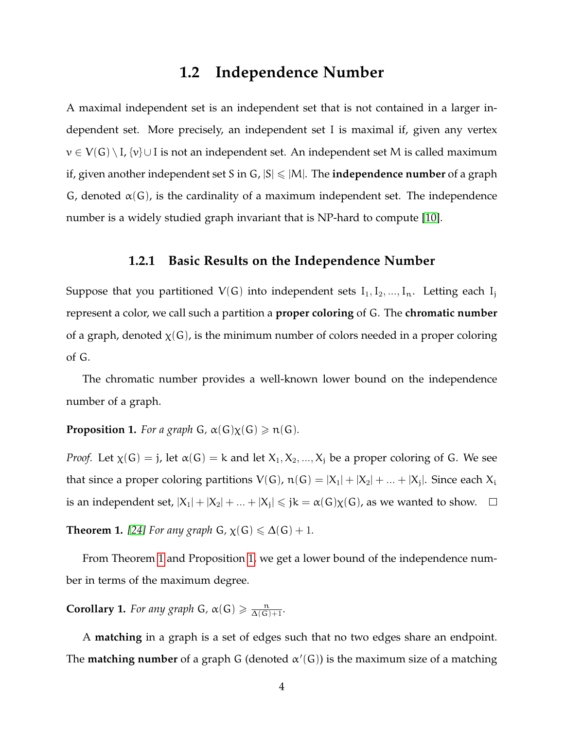### **1.2 Independence Number**

<span id="page-12-0"></span>A maximal independent set is an independent set that is not contained in a larger independent set. More precisely, an independent set I is maximal if, given any vertex  $v \in V(G) \setminus I$ ,  $\{v\} \cup I$  is not an independent set. An independent set M is called maximum if, given another independent set S in G,  $|S| \leq |M|$ . The **independence number** of a graph G, denoted  $\alpha(G)$ , is the cardinality of a maximum independent set. The independence number is a widely studied graph invariant that is NP-hard to compute [\[10\]](#page-48-0).

#### **1.2.1 Basic Results on the Independence Number**

<span id="page-12-1"></span>Suppose that you partitioned  $V(G)$  into independent sets  $I_1, I_2, ..., I_n$ . Letting each  $I_j$ represent a color, we call such a partition a **proper coloring** of G. The **chromatic number** of a graph, denoted  $\chi(G)$ , is the minimum number of colors needed in a proper coloring of G.

The chromatic number provides a well-known lower bound on the independence number of a graph.

#### <span id="page-12-3"></span>**Proposition 1.** *For a graph* G,  $\alpha(G)\chi(G) \geq n(G)$ *.*

*Proof.* Let  $\chi(G) = j$ , let  $\alpha(G) = k$  and let  $X_1, X_2, ..., X_j$  be a proper coloring of G. We see that since a proper coloring partitions  $V(G)$ ,  $n(G) = |X_1| + |X_2| + ... + |X_j|$ . Since each  $X_i$ is an independent set,  $|X_1| + |X_2| + ... + |X_j| \leq jk = \alpha(G)\chi(G)$ , as we wanted to show.

<span id="page-12-2"></span>**Theorem 1.** [\[24\]](#page-49-1) For any graph  $G$ ,  $\chi(G) \leq \Delta(G) + 1$ .

From Theorem [1](#page-12-2) and Proposition [1,](#page-12-3) we get a lower bound of the independence number in terms of the maximum degree.

**Corollary 1.** *For any graph* G,  $\alpha(G) \ge \frac{n}{\Delta(G)}$  $\frac{n}{\Delta(G)+1}$ .

A **matching** in a graph is a set of edges such that no two edges share an endpoint. The **matching number** of a graph G (denoted  $\alpha'(G)$ ) is the maximum size of a matching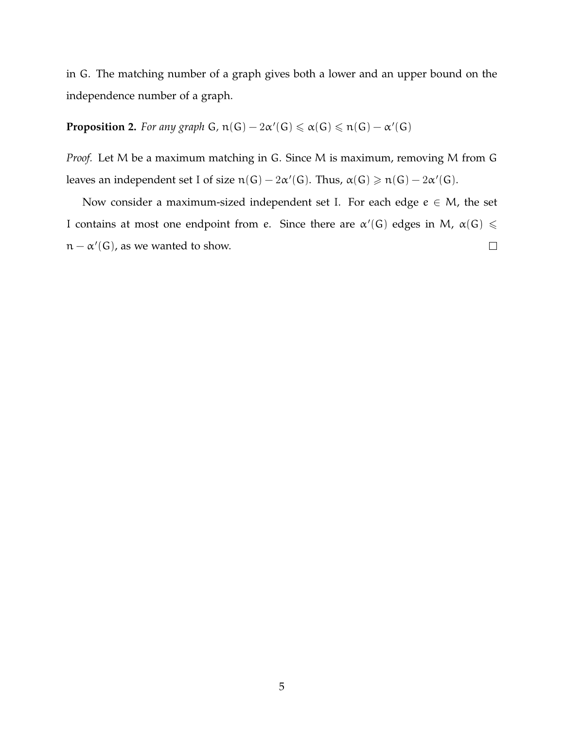in G. The matching number of a graph gives both a lower and an upper bound on the independence number of a graph.

**Proposition 2.** *For any graph*  $G$ ,  $n(G) - 2\alpha'(G) \leq \alpha(G) \leq n(G) - \alpha'(G)$ 

*Proof.* Let M be a maximum matching in G. Since M is maximum, removing M from G leaves an independent set I of size  $n(G) - 2\alpha'(G)$ . Thus,  $\alpha(G) \geq n(G) - 2\alpha'(G)$ .

Now consider a maximum-sized independent set I. For each edge  $e \in M$ , the set I contains at most one endpoint from e. Since there are  $\alpha'(G)$  edges in M,  $\alpha(G) \leq$  $n - \alpha'(G)$ , as we wanted to show.  $\Box$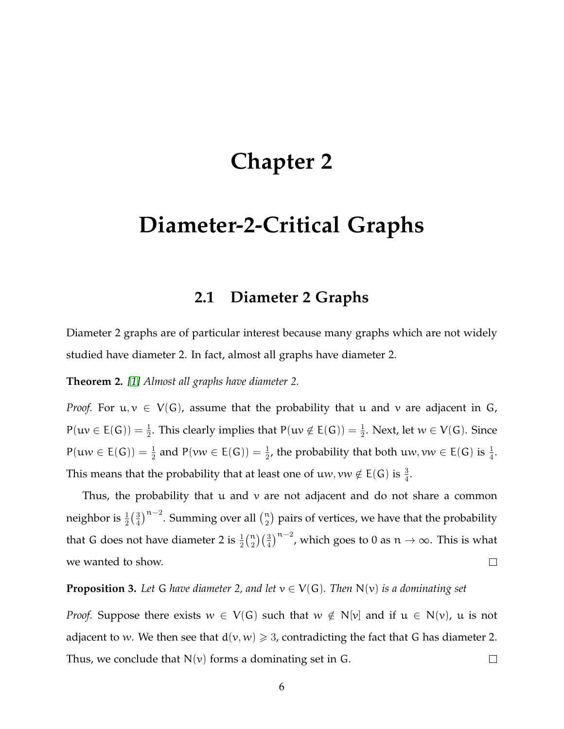### **Chapter 2**

### <span id="page-14-0"></span>**Diameter-2-Critical Graphs**

#### **2.1 Diameter 2 Graphs**

<span id="page-14-1"></span>Diameter 2 graphs are of particular interest because many graphs which are not widely studied have diameter 2. In fact, almost all graphs have diameter 2.

**Theorem 2.** *[\[1\]](#page-47-1) Almost all graphs have diameter 2.*

*Proof.* For  $u, v \in V(G)$ , assume that the probability that u and v are adjacent in G,  $P(uv \in E(G)) = \frac{1}{2}$ . This clearly implies that  $P(uv \notin E(G)) = \frac{1}{2}$ . Next, let  $w \in V(G)$ . Since  $P(uw \in E(G)) = \frac{1}{2}$  and  $P(vw \in E(G)) = \frac{1}{2}$ , the probability that both  $uw, vw \in E(G)$  is  $\frac{1}{4}$ . This means that the probability that at least one of  $uw, vw \notin E(G)$  is  $\frac{3}{4}$ .

Thus, the probability that u and v are not adjacent and do not share a common  $\frac{3}{4}\big)^{\mathfrak{n}-2}.$  Summing over all  $\binom{\mathfrak{n}}{2}$  pairs of vertices, we have that the probability neighbor is  $\frac{1}{2}(\frac{3}{4}$ that G does not have diameter 2 is  $\frac{1}{2} {n \choose 2} (\frac{3}{4})^{n-2}$ , which goes to 0 as  $n \to \infty$ . This is what we wanted to show.  $\Box$ 

**Proposition 3.** Let G have diameter 2, and let  $v \in V(G)$ . Then  $N(v)$  is a dominating set

*Proof.* Suppose there exists  $w \in V(G)$  such that  $w \notin N[v]$  and if  $u \in N(v)$ ,  $u$  is not adjacent to w. We then see that  $d(v, w) \ge 3$ , contradicting the fact that G has diameter 2. Thus, we conclude that  $N(v)$  forms a dominating set in G.  $\Box$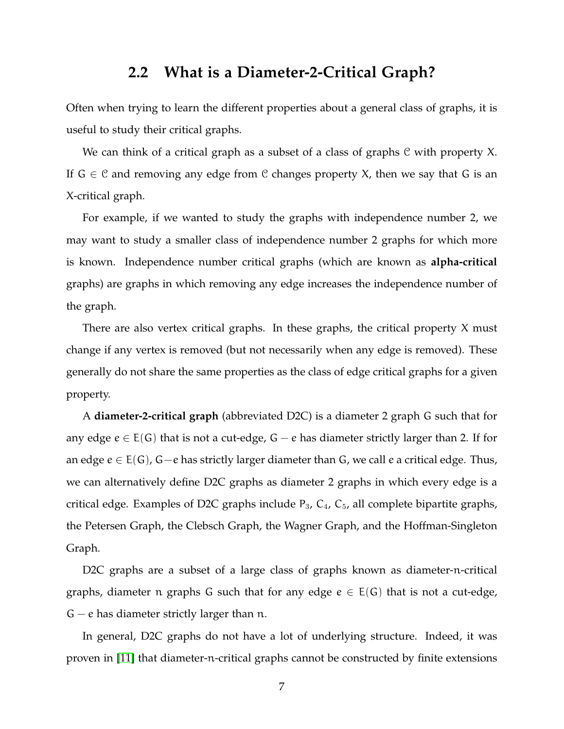#### **2.2 What is a Diameter-2-Critical Graph?**

<span id="page-15-0"></span>Often when trying to learn the different properties about a general class of graphs, it is useful to study their critical graphs.

We can think of a critical graph as a subset of a class of graphs C with property X. If  $G \in \mathcal{C}$  and removing any edge from  $\mathcal{C}$  changes property X, then we say that G is an X-critical graph.

For example, if we wanted to study the graphs with independence number 2, we may want to study a smaller class of independence number 2 graphs for which more is known. Independence number critical graphs (which are known as **alpha-critical** graphs) are graphs in which removing any edge increases the independence number of the graph.

There are also vertex critical graphs. In these graphs, the critical property  $X$  must change if any vertex is removed (but not necessarily when any edge is removed). These generally do not share the same properties as the class of edge critical graphs for a given property.

A **diameter-2-critical graph** (abbreviated D2C) is a diameter 2 graph G such that for any edge  $e \in E(G)$  that is not a cut-edge,  $G - e$  has diameter strictly larger than 2. If for an edge  $e \in E(G)$ , G−e has strictly larger diameter than G, we call e a critical edge. Thus, we can alternatively define D2C graphs as diameter 2 graphs in which every edge is a critical edge. Examples of D2C graphs include  $P_3$ ,  $C_4$ ,  $C_5$ , all complete bipartite graphs, the Petersen Graph, the Clebsch Graph, the Wagner Graph, and the Hoffman-Singleton Graph.

D2C graphs are a subset of a large class of graphs known as diameter-n-critical graphs, diameter n graphs G such that for any edge  $e \in E(G)$  that is not a cut-edge,  $G - e$  has diameter strictly larger than n.

In general, D2C graphs do not have a lot of underlying structure. Indeed, it was proven in [\[11\]](#page-48-1) that diameter-n-critical graphs cannot be constructed by finite extensions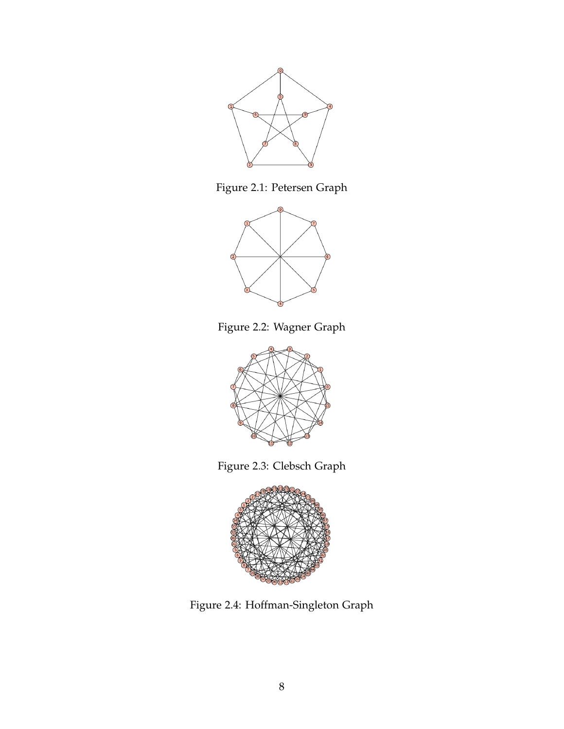

Figure 2.1: Petersen Graph

<span id="page-16-0"></span>

Figure 2.2: Wagner Graph

<span id="page-16-1"></span>

Figure 2.3: Clebsch Graph

<span id="page-16-3"></span><span id="page-16-2"></span>

Figure 2.4: Hoffman-Singleton Graph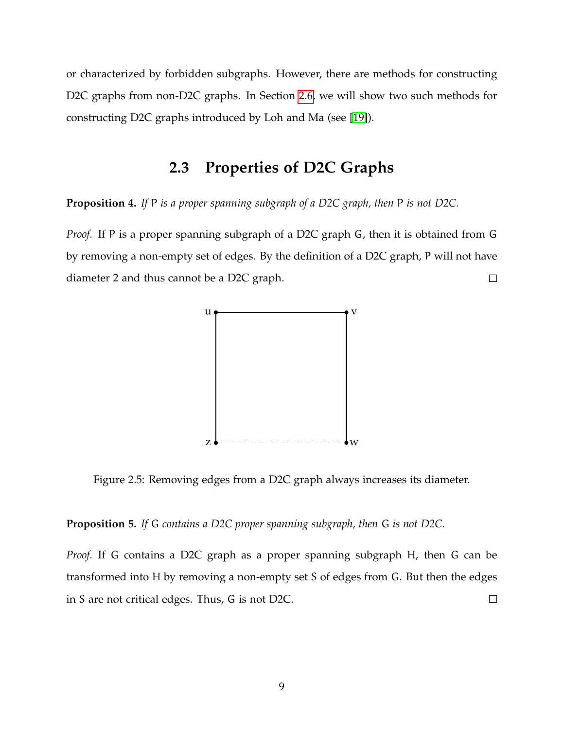or characterized by forbidden subgraphs. However, there are methods for constructing D2C graphs from non-D2C graphs. In Section [2.6,](#page-23-0) we will show two such methods for constructing D2C graphs introduced by Loh and Ma (see [\[19\]](#page-48-2)).

### **2.3 Properties of D2C Graphs**

<span id="page-17-2"></span><span id="page-17-0"></span>**Proposition 4.** *If* P *is a proper spanning subgraph of a D2C graph, then* P *is not D2C.*

*Proof.* If P is a proper spanning subgraph of a D2C graph G, then it is obtained from G by removing a non-empty set of edges. By the definition of a D2C graph, P will not have diameter 2 and thus cannot be a D2C graph.  $\Box$ 



<span id="page-17-1"></span>Figure 2.5: Removing edges from a D2C graph always increases its diameter.

<span id="page-17-3"></span>**Proposition 5.** *If* G *contains a D2C proper spanning subgraph, then* G *is not D2C.*

*Proof.* If G contains a D2C graph as a proper spanning subgraph H, then G can be transformed into H by removing a non-empty set S of edges from G. But then the edges in S are not critical edges. Thus, G is not D2C.  $\Box$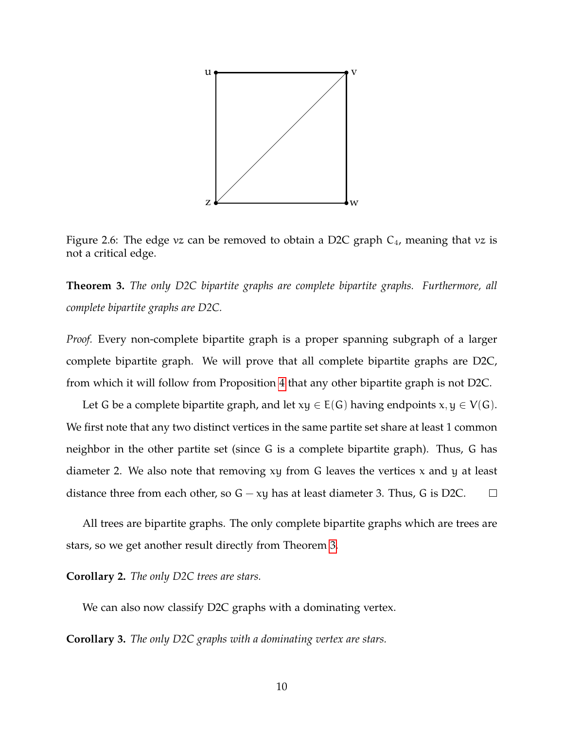

<span id="page-18-0"></span>Figure 2.6: The edge vz can be removed to obtain a D2C graph  $C_4$ , meaning that vz is not a critical edge.

<span id="page-18-1"></span>**Theorem 3.** *The only D2C bipartite graphs are complete bipartite graphs. Furthermore, all complete bipartite graphs are D2C.*

*Proof.* Every non-complete bipartite graph is a proper spanning subgraph of a larger complete bipartite graph. We will prove that all complete bipartite graphs are D2C, from which it will follow from Proposition [4](#page-17-2) that any other bipartite graph is not D2C.

Let G be a complete bipartite graph, and let  $xy \in E(G)$  having endpoints  $x, y \in V(G)$ . We first note that any two distinct vertices in the same partite set share at least 1 common neighbor in the other partite set (since G is a complete bipartite graph). Thus, G has diameter 2. We also note that removing  $xy$  from G leaves the vertices  $x$  and  $y$  at least distance three from each other, so  $G - xy$  has at least diameter 3. Thus, G is D2C.  $\Box$ 

All trees are bipartite graphs. The only complete bipartite graphs which are trees are stars, so we get another result directly from Theorem [3.](#page-18-1)

**Corollary 2.** *The only D2C trees are stars.*

We can also now classify D2C graphs with a dominating vertex.

<span id="page-18-2"></span>**Corollary 3.** *The only D2C graphs with a dominating vertex are stars.*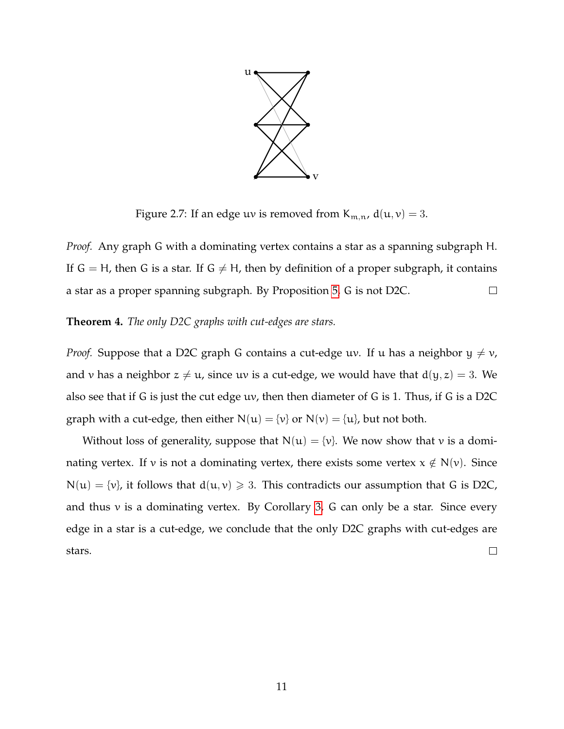

Figure 2.7: If an edge uv is removed from  $K_{m,n}$ ,  $d(u, v) = 3$ .

<span id="page-19-0"></span>*Proof.* Any graph G with a dominating vertex contains a star as a spanning subgraph H. If  $G = H$ , then G is a star. If  $G \neq H$ , then by definition of a proper subgraph, it contains a star as a proper spanning subgraph. By Proposition [5,](#page-17-3) G is not D2C.  $\Box$ 

**Theorem 4.** *The only D2C graphs with cut-edges are stars.*

*Proof.* Suppose that a D2C graph G contains a cut-edge uv. If u has a neighbor  $y \neq v$ , and v has a neighbor  $z \neq u$ , since uv is a cut-edge, we would have that  $d(y, z) = 3$ . We also see that if G is just the cut edge uv, then then diameter of G is 1. Thus, if G is a D2C graph with a cut-edge, then either  $N(u) = \{v\}$  or  $N(v) = \{u\}$ , but not both.

Without loss of generality, suppose that  $N(u) = \{v\}$ . We now show that v is a dominating vertex. If v is not a dominating vertex, there exists some vertex  $x \notin N(v)$ . Since  $N(u) = \{v\}$ , it follows that  $d(u, v) \ge 3$ . This contradicts our assumption that G is D2C, and thus  $v$  is a dominating vertex. By Corollary [3,](#page-18-2) G can only be a star. Since every edge in a star is a cut-edge, we conclude that the only D2C graphs with cut-edges are stars.  $\Box$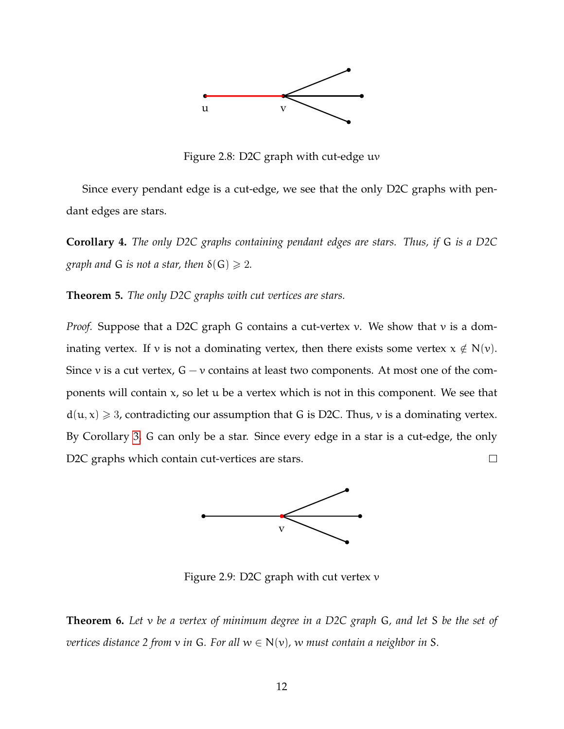

Figure 2.8: D2C graph with cut-edge uv

<span id="page-20-0"></span>Since every pendant edge is a cut-edge, we see that the only D2C graphs with pendant edges are stars.

**Corollary 4.** *The only D2C graphs containing pendant edges are stars. Thus, if* G *is a D2C graph and* G *is not a star, then*  $\delta(G) \geq 2$ *.* 

**Theorem 5.** *The only D2C graphs with cut vertices are stars.*

*Proof.* Suppose that a D2C graph G contains a cut-vertex v. We show that v is a dominating vertex. If v is not a dominating vertex, then there exists some vertex  $x \notin N(v)$ . Since v is a cut vertex,  $G - v$  contains at least two components. At most one of the components will contain x, so let u be a vertex which is not in this component. We see that  $d(u, x) \ge 3$ , contradicting our assumption that G is D2C. Thus, v is a dominating vertex. By Corollary [3,](#page-18-2) G can only be a star. Since every edge in a star is a cut-edge, the only  $\Box$ D<sub>2</sub>C graphs which contain cut-vertices are stars.



Figure 2.9: D2C graph with cut vertex  $v$ 

<span id="page-20-2"></span><span id="page-20-1"></span>**Theorem 6.** *Let* v *be a vertex of minimum degree in a D2C graph* G*, and let* S *be the set of vertices distance* 2 from  $\nu$  *in* G. For all  $w \in N(\nu)$ , w must contain a neighbor in S.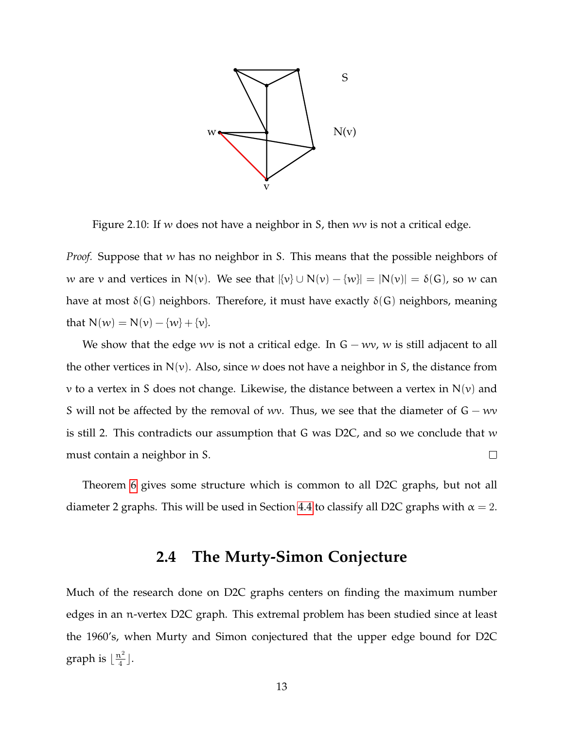

<span id="page-21-1"></span>Figure 2.10: If w does not have a neighbor in S, then wv is not a critical edge.

*Proof.* Suppose that w has no neighbor in S. This means that the possible neighbors of w are v and vertices in N(v). We see that  $|\{v\} \cup N(v) - \{w\}| = |N(v)| = \delta(G)$ , so w can have at most  $\delta(G)$  neighbors. Therefore, it must have exactly  $\delta(G)$  neighbors, meaning that  $N(w) = N(v) - \{w\} + \{v\}.$ 

We show that the edge wv is not a critical edge. In  $G - wv$ , w is still adjacent to all the other vertices in  $N(v)$ . Also, since w does not have a neighbor in S, the distance from v to a vertex in S does not change. Likewise, the distance between a vertex in  $N(v)$  and S will not be affected by the removal of wv. Thus, we see that the diameter of  $G - wv$ is still 2. This contradicts our assumption that G was D2C, and so we conclude that w must contain a neighbor in S.  $\Box$ 

<span id="page-21-0"></span>Theorem [6](#page-20-2) gives some structure which is common to all D2C graphs, but not all diameter 2 graphs. This will be used in Section [4.4](#page-38-0) to classify all D2C graphs with  $\alpha = 2$ .

#### **2.4 The Murty-Simon Conjecture**

Much of the research done on D2C graphs centers on finding the maximum number edges in an n-vertex D2C graph. This extremal problem has been studied since at least the 1960's, when Murty and Simon conjectured that the upper edge bound for D2C graph is  $\lfloor \frac{{\mathfrak n}^2}{4}$  $\frac{\mathfrak{r}^2}{4}$ .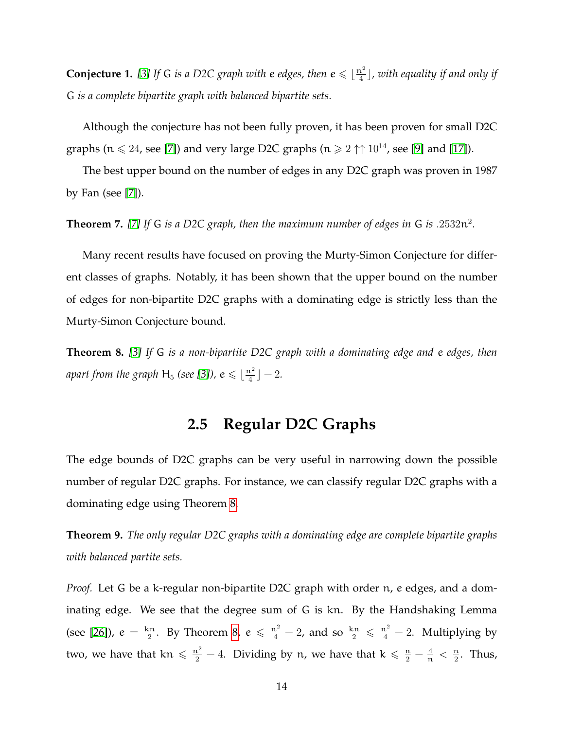**Conjecture 1.** [\[3\]](#page-47-2) If G is a D2C graph with e edges, then  $e \leq \lfloor \frac{n^2}{4} \rfloor$ 4 ⌋*, with equality if and only if* G *is a complete bipartite graph with balanced bipartite sets.*

Although the conjecture has not been fully proven, it has been proven for small D2C graphs ( $n \le 24$ , see [\[7\]](#page-47-3)) and very large D2C graphs ( $n \ge 2 \uparrow \uparrow 10^{14}$ , see [\[9\]](#page-47-4) and [\[17\]](#page-48-3)).

The best upper bound on the number of edges in any D2C graph was proven in 1987 by Fan (see [\[7\]](#page-47-3)).

<span id="page-22-3"></span>**Theorem 7.** *[\[7\]](#page-47-3) If* G *is a D2C graph, then the maximum number of edges in* G *is* .2532n 2 *.*

Many recent results have focused on proving the Murty-Simon Conjecture for different classes of graphs. Notably, it has been shown that the upper bound on the number of edges for non-bipartite D2C graphs with a dominating edge is strictly less than the Murty-Simon Conjecture bound.

<span id="page-22-1"></span><span id="page-22-0"></span>**Theorem 8.** *[\[3\]](#page-47-2) If* G *is a non-bipartite D2C graph with a dominating edge and* e *edges, then apart from the graph*  $H_5$  *(see [\[3\]](#page-47-2)), e*  $\leqslant \lfloor \frac{n^2}{4} \rfloor$  $\frac{\mathfrak{r}^2}{4}$  – 2.

### **2.5 Regular D2C Graphs**

The edge bounds of D2C graphs can be very useful in narrowing down the possible number of regular D2C graphs. For instance, we can classify regular D2C graphs with a dominating edge using Theorem [8.](#page-22-1)

<span id="page-22-2"></span>**Theorem 9.** *The only regular D2C graphs with a dominating edge are complete bipartite graphs with balanced partite sets.*

*Proof.* Let G be a k-regular non-bipartite D2C graph with order n, e edges, and a dominating edge. We see that the degree sum of G is kn. By the Handshaking Lemma (see [\[26\]](#page-49-0)),  $e = \frac{kn}{2}$  $\frac{2\pi}{2}$ . By Theorem [8,](#page-22-1)  $e \le \frac{\pi^2}{4} - 2$ , and so  $\frac{\pi}{2} \le \frac{\pi^2}{4} - 2$ . Multiplying by two, we have that  $kn \leq \frac{n^2}{2} - 4$ . Dividing by n, we have that  $k \leq \frac{n}{2} - \frac{4}{n} < \frac{n}{2}$  $\frac{n}{2}$ . Thus,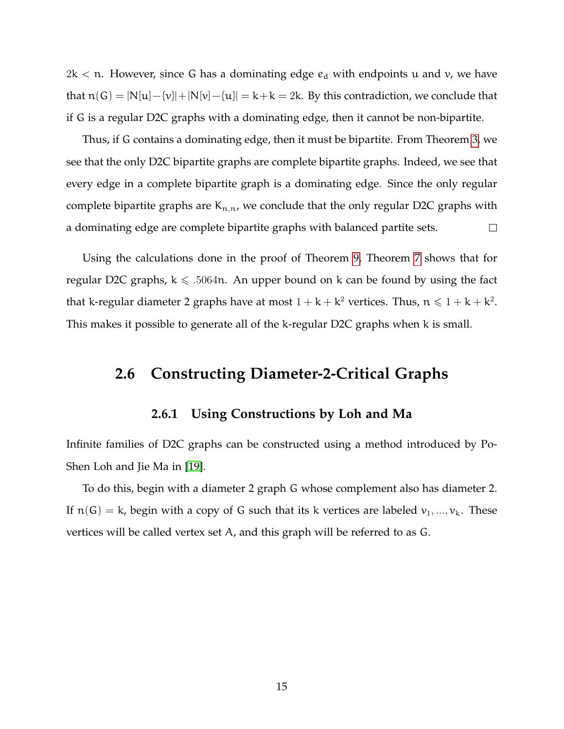$2k < n$ . However, since G has a dominating edge  $e_d$  with endpoints u and v, we have that  $n(G) = |N[u] - \{v\}| + |N[v] - \{u\}| = k + k = 2k$ . By this contradiction, we conclude that if G is a regular D2C graphs with a dominating edge, then it cannot be non-bipartite.

Thus, if G contains a dominating edge, then it must be bipartite. From Theorem [3,](#page-18-1) we see that the only D2C bipartite graphs are complete bipartite graphs. Indeed, we see that every edge in a complete bipartite graph is a dominating edge. Since the only regular complete bipartite graphs are  $K_{n,n}$ , we conclude that the only regular D2C graphs with a dominating edge are complete bipartite graphs with balanced partite sets.  $\Box$ 

Using the calculations done in the proof of Theorem [9,](#page-22-2) Theorem [7](#page-22-3) shows that for regular D2C graphs,  $k \le 0.5064n$ . An upper bound on k can be found by using the fact that k-regular diameter 2 graphs have at most  $1 + k + k^2$  vertices. Thus,  $n \leq 1 + k + k^2$ . This makes it possible to generate all of the k-regular D2C graphs when k is small.

#### <span id="page-23-0"></span>**2.6 Constructing Diameter-2-Critical Graphs**

#### **2.6.1 Using Constructions by Loh and Ma**

<span id="page-23-1"></span>Infinite families of D2C graphs can be constructed using a method introduced by Po-Shen Loh and Jie Ma in [\[19\]](#page-48-2).

To do this, begin with a diameter 2 graph G whose complement also has diameter 2. If  $n(G) = k$ , begin with a copy of G such that its k vertices are labeled  $v_1, ..., v_k$ . These vertices will be called vertex set A, and this graph will be referred to as G.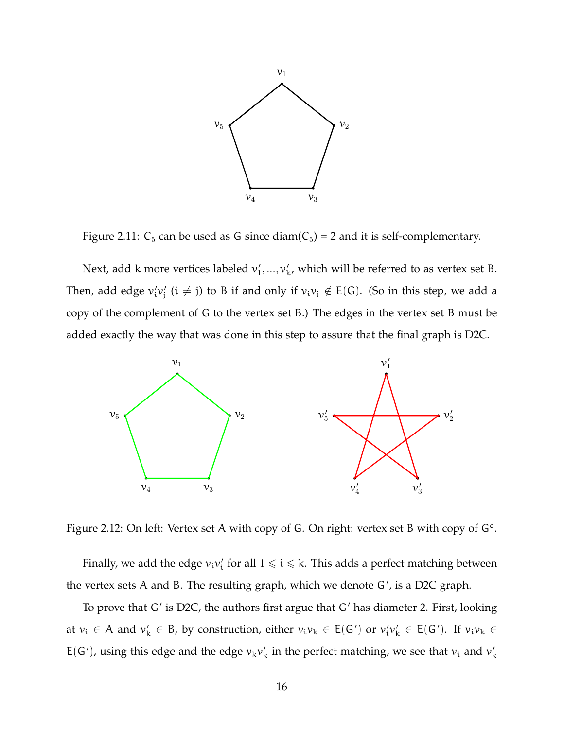

<span id="page-24-0"></span>Figure 2.11:  $C_5$  can be used as G since diam( $C_5$ ) = 2 and it is self-complementary.

Next, add k more vertices labeled  $v'_1, ..., v'_k$ , which will be referred to as vertex set B. Then, add edge  $v'_i v'_j$  ( $i \neq j$ ) to B if and only if  $v_i v_j \notin E(G)$ . (So in this step, we add a copy of the complement of G to the vertex set B.) The edges in the vertex set B must be added exactly the way that was done in this step to assure that the final graph is D2C.



<span id="page-24-1"></span>Figure 2.12: On left: Vertex set A with copy of G. On right: vertex set B with copy of  $G^c$ .

Finally, we add the edge  $v_i v'_i$  for all  $1 \leq i \leq k$ . This adds a perfect matching between the vertex sets A and B. The resulting graph, which we denote G′ , is a D2C graph.

To prove that G' is D2C, the authors first argue that G' has diameter 2. First, looking at  $v_i \in A$  and  $v'_k \in B$ , by construction, either  $v_i v_k \in E(G')$  or  $v'_i v'_k \in E(G')$ . If  $v_i v_k \in B$ E(G'), using this edge and the edge  $v_k v'_k$  in the perfect matching, we see that  $v_i$  and  $v'_k$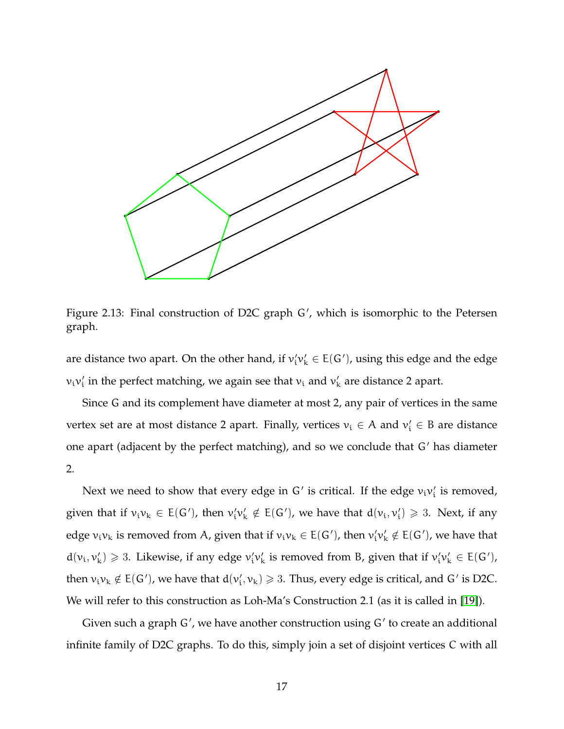

<span id="page-25-0"></span>Figure 2.13: Final construction of D2C graph G′ , which is isomorphic to the Petersen graph.

are distance two apart. On the other hand, if  $v'_i v'_k \in E(G')$ , using this edge and the edge  $v_i v_i'$  in the perfect matching, we again see that  $v_i$  and  $v_k'$  are distance 2 apart.

Since G and its complement have diameter at most 2, any pair of vertices in the same vertex set are at most distance 2 apart. Finally, vertices  $v_i \in A$  and  $v'_i \in B$  are distance one apart (adjacent by the perfect matching), and so we conclude that G′ has diameter 2.

Next we need to show that every edge in  $G'$  is critical. If the edge  $v_i v'_i$  is removed, given that if  $v_i v_k \in E(G')$ , then  $v'_i v'_k \notin E(G')$ , we have that  $d(v_i, v'_i) \geq 3$ . Next, if any edge  $v_i v_k$  is removed from A, given that if  $v_i v_k \in E(G')$ , then  $v'_i v'_k \notin E(G')$ , we have that  $d(v_i, v'_k) \geq 3$ . Likewise, if any edge  $v'_i v'_k$  is removed from B, given that if  $v'_i v'_k \in E(G')$ , then  $v_i v_k \notin E(G')$ , we have that  $d(v'_i, v_k) \geq 3$ . Thus, every edge is critical, and G' is D2C. We will refer to this construction as Loh-Ma's Construction 2.1 (as it is called in [\[19\]](#page-48-2)).

Given such a graph G', we have another construction using G' to create an additional infinite family of D2C graphs. To do this, simply join a set of disjoint vertices C with all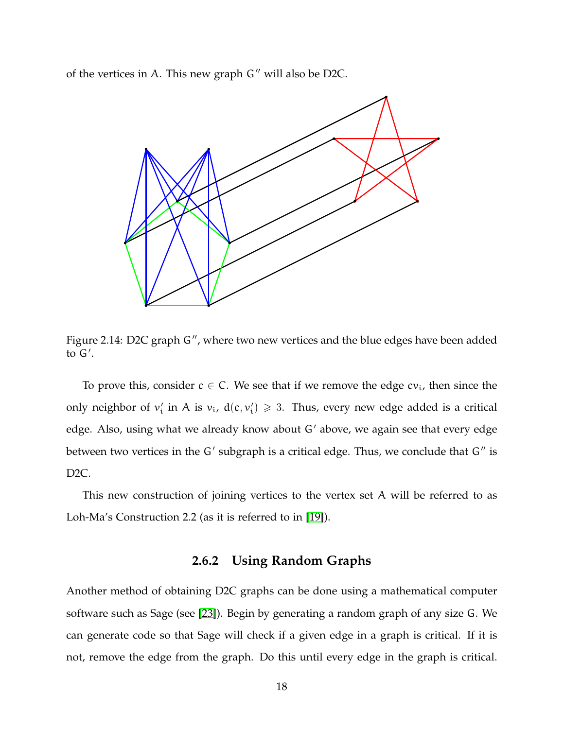of the vertices in A. This new graph G′′ will also be D2C.



<span id="page-26-1"></span>Figure 2.14: D2C graph G", where two new vertices and the blue edges have been added to G′ .

To prove this, consider  $c \in C$ . We see that if we remove the edge  $cv_i$ , then since the only neighbor of  $v'_i$  in A is  $v_i$ ,  $d(c, v'_i) \geq 3$ . Thus, every new edge added is a critical edge. Also, using what we already know about G′ above, we again see that every edge between two vertices in the G' subgraph is a critical edge. Thus, we conclude that G" is D2C.

This new construction of joining vertices to the vertex set A will be referred to as Loh-Ma's Construction 2.2 (as it is referred to in [\[19\]](#page-48-2)).

#### **2.6.2 Using Random Graphs**

<span id="page-26-0"></span>Another method of obtaining D2C graphs can be done using a mathematical computer software such as Sage (see [\[23\]](#page-49-2)). Begin by generating a random graph of any size G. We can generate code so that Sage will check if a given edge in a graph is critical. If it is not, remove the edge from the graph. Do this until every edge in the graph is critical.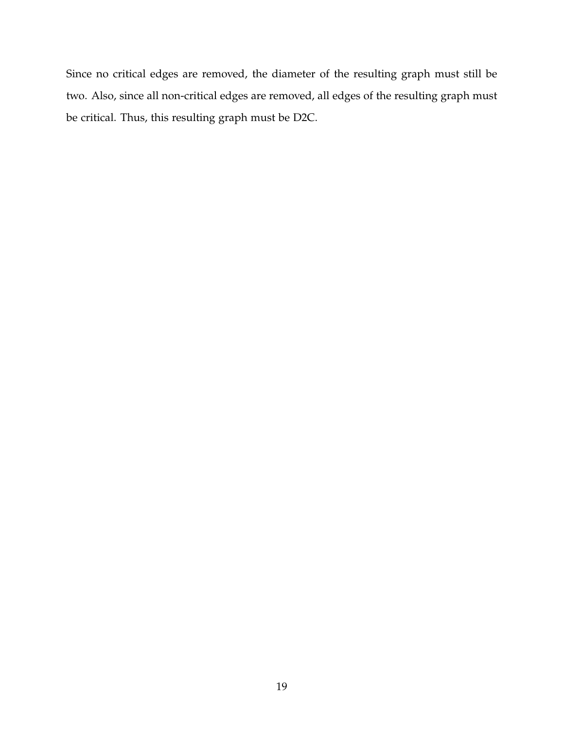Since no critical edges are removed, the diameter of the resulting graph must still be two. Also, since all non-critical edges are removed, all edges of the resulting graph must be critical. Thus, this resulting graph must be D2C.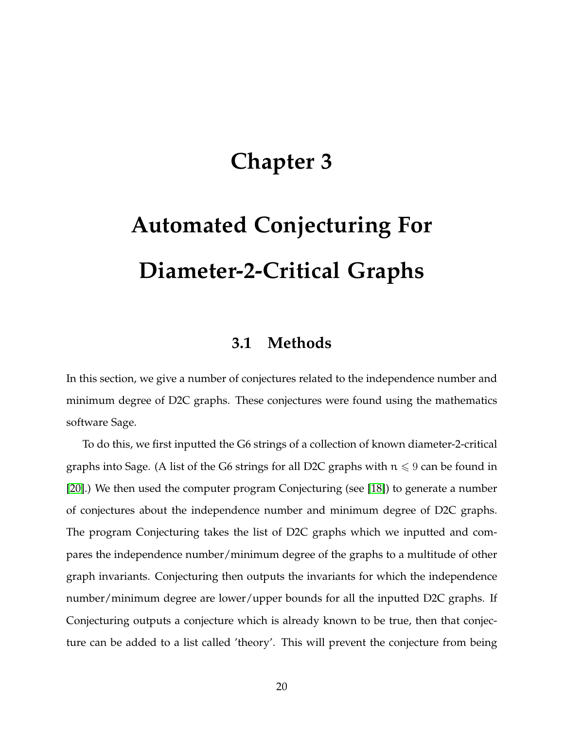## **Chapter 3**

# <span id="page-28-0"></span>**Automated Conjecturing For Diameter-2-Critical Graphs**

### **3.1 Methods**

<span id="page-28-1"></span>In this section, we give a number of conjectures related to the independence number and minimum degree of D2C graphs. These conjectures were found using the mathematics software Sage.

To do this, we first inputted the G6 strings of a collection of known diameter-2-critical graphs into Sage. (A list of the G6 strings for all D2C graphs with  $n \leq 9$  can be found in [\[20\]](#page-48-4).) We then used the computer program Conjecturing (see [\[18\]](#page-48-5)) to generate a number of conjectures about the independence number and minimum degree of D2C graphs. The program Conjecturing takes the list of D2C graphs which we inputted and compares the independence number/minimum degree of the graphs to a multitude of other graph invariants. Conjecturing then outputs the invariants for which the independence number/minimum degree are lower/upper bounds for all the inputted D2C graphs. If Conjecturing outputs a conjecture which is already known to be true, then that conjecture can be added to a list called 'theory'. This will prevent the conjecture from being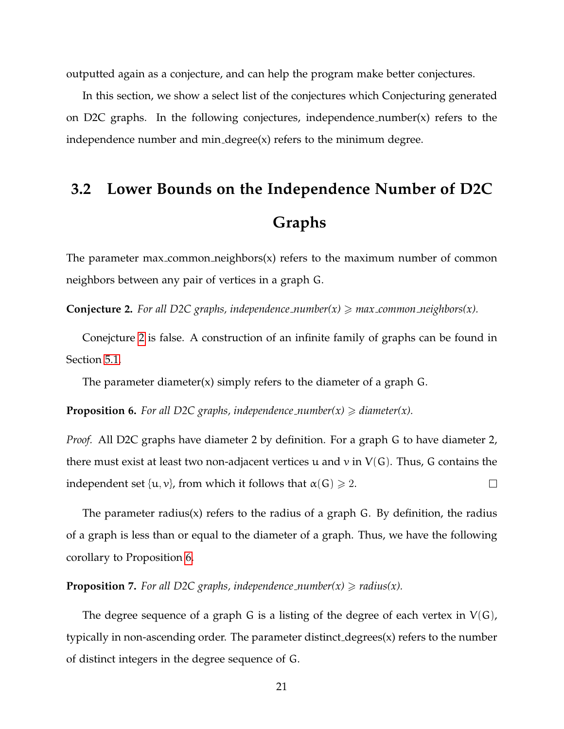outputted again as a conjecture, and can help the program make better conjectures.

In this section, we show a select list of the conjectures which Conjecturing generated on D2C graphs. In the following conjectures, independence number(x) refers to the independence number and min degree(x) refers to the minimum degree.

# <span id="page-29-0"></span>**3.2 Lower Bounds on the Independence Number of D2C Graphs**

The parameter max common neighbors $(x)$  refers to the maximum number of common neighbors between any pair of vertices in a graph G.

<span id="page-29-1"></span>**Conjecture 2.** For all D2C graphs, independence *number(x)*  $\geq$  *max common neighbors(x)*.

Conejcture [2](#page-29-1) is false. A construction of an infinite family of graphs can be found in Section [5.1.](#page-41-1)

The parameter diameter(x) simply refers to the diameter of a graph  $G$ .

<span id="page-29-2"></span>**Proposition 6.** For all D2C graphs, independence\_number(x)  $\geq$  diameter(x).

*Proof.* All D2C graphs have diameter 2 by definition. For a graph G to have diameter 2, there must exist at least two non-adjacent vertices u and v in  $V(G)$ . Thus, G contains the independent set  $\{u, v\}$ , from which it follows that  $\alpha(G) \geq 2$ .  $\Box$ 

The parameter radius(x) refers to the radius of a graph G. By definition, the radius of a graph is less than or equal to the diameter of a graph. Thus, we have the following corollary to Proposition [6.](#page-29-2)

**Proposition 7.** For all D2C graphs, independence\_number(x)  $\geq$  radius(x).

The degree sequence of a graph G is a listing of the degree of each vertex in  $V(G)$ , typically in non-ascending order. The parameter distinct degrees(x) refers to the number of distinct integers in the degree sequence of G.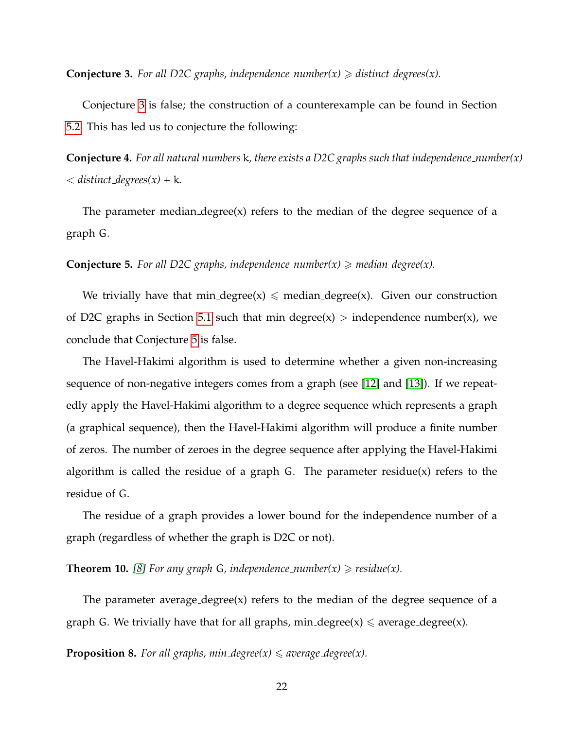<span id="page-30-0"></span>**Conjecture 3.** For all D2C graphs, independence *number(x)*  $\geq$  distinct *degrees(x)*.

Conjecture [3](#page-30-0) is false; the construction of a counterexample can be found in Section [5.2.](#page-44-0) This has led us to conjecture the following:

**Conjecture 4.** *For all natural numbers* k*, there exists a D2C graphs such that independence number(x)* < *distinct degrees(x) +* k*.*

The parameter median degree(x) refers to the median of the degree sequence of a graph G.

<span id="page-30-1"></span>**Conjecture 5.** For all D2C graphs, independence *number(x)*  $\geq$  median *degree(x)*.

We trivially have that min\_degree(x)  $\leq$  median\_degree(x). Given our construction of D2C graphs in Section [5.1](#page-41-1) such that min degree(x)  $>$  independence number(x), we conclude that Conjecture [5](#page-30-1) is false.

The Havel-Hakimi algorithm is used to determine whether a given non-increasing sequence of non-negative integers comes from a graph (see [\[12\]](#page-48-6) and [\[13\]](#page-48-7)). If we repeatedly apply the Havel-Hakimi algorithm to a degree sequence which represents a graph (a graphical sequence), then the Havel-Hakimi algorithm will produce a finite number of zeros. The number of zeroes in the degree sequence after applying the Havel-Hakimi algorithm is called the residue of a graph  $G$ . The parameter residue $(x)$  refers to the residue of G.

The residue of a graph provides a lower bound for the independence number of a graph (regardless of whether the graph is D2C or not).

**Theorem 10.** [\[8\]](#page-47-5) For any graph G, independence\_number(x)  $\ge$  residue(x).

The parameter average degree(x) refers to the median of the degree sequence of a graph G. We trivially have that for all graphs, min\_degree(x)  $\leq$  average\_degree(x).

**Proposition 8.** For all graphs, min\_degree(x)  $\leq$  average\_degree(x).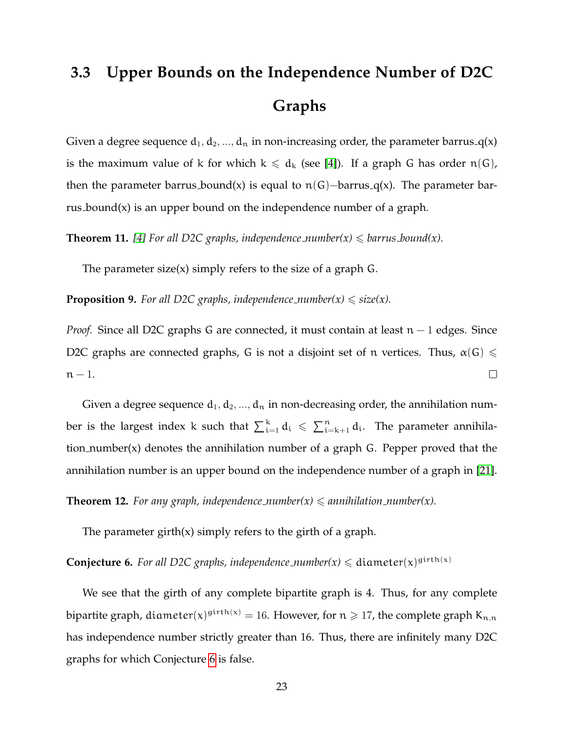# <span id="page-31-0"></span>**3.3 Upper Bounds on the Independence Number of D2C Graphs**

Given a degree sequence  $d_1, d_2, ..., d_n$  in non-increasing order, the parameter barrus  $q(x)$ is the maximum value of k for which  $k \leq d_k$  (see [\[4\]](#page-47-6)). If a graph G has order  $n(G)$ , then the parameter barrus bound(x) is equal to  $\pi(G)$ –barrus q(x). The parameter barrus bound(x) is an upper bound on the independence number of a graph.

**Theorem 11.** [\[4\]](#page-47-6) For all D2C graphs, independence\_number(x)  $\leq$  barrus\_bound(x).

The parameter size(x) simply refers to the size of a graph G.

**Proposition 9.** For all D2C graphs, independence number(x)  $\leq$  size(x).

*Proof.* Since all D2C graphs G are connected, it must contain at least n − 1 edges. Since D2C graphs are connected graphs, G is not a disjoint set of n vertices. Thus,  $\alpha(G) \leq$  $n - 1$ .  $\Box$ 

Given a degree sequence  $d_1, d_2, ..., d_n$  in non-decreasing order, the annihilation number is the largest index k such that  $\sum_{i=1}^k d_i \leqslant \sum_{i=k+1}^n d_i$ . The parameter annihilation number(x) denotes the annihilation number of a graph G. Pepper proved that the annihilation number is an upper bound on the independence number of a graph in [\[21\]](#page-49-3).

**Theorem 12.** For any graph, independence *number(x)*  $\leq$  annihilation *number(x)*.

The parameter girth $(x)$  simply refers to the girth of a graph.

<span id="page-31-1"></span>**Conjecture 6.** For all D2C graphs, independence\_number(x)  $\leq$  diameter(x)<sup>girth(x)</sup>

We see that the girth of any complete bipartite graph is 4. Thus, for any complete bipartite graph, diameter $(x)^{girth(x)} = 16$ . However, for  $n \geqslant 17$ , the complete graph  $\mathsf{K}_{\mathfrak{n},\mathfrak{n}}$ has independence number strictly greater than 16. Thus, there are infinitely many D2C graphs for which Conjecture [6](#page-31-1) is false.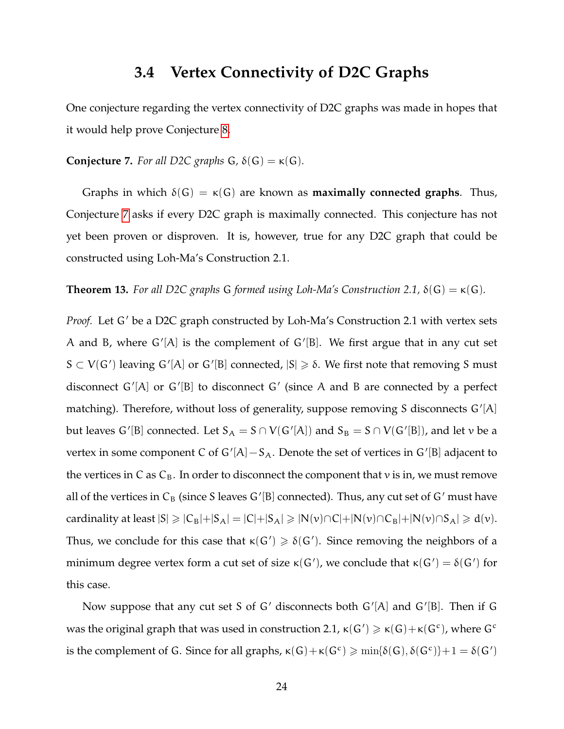#### **3.4 Vertex Connectivity of D2C Graphs**

<span id="page-32-0"></span>One conjecture regarding the vertex connectivity of D2C graphs was made in hopes that it would help prove Conjecture [8.](#page-34-2)

<span id="page-32-1"></span>**Conjecture 7.** *For all D2C graphs*  $G$ ,  $\delta(G) = \kappa(G)$ *.* 

Graphs in which  $\delta(G) = \kappa(G)$  are known as **maximally connected graphs**. Thus, Conjecture [7](#page-32-1) asks if every D2C graph is maximally connected. This conjecture has not yet been proven or disproven. It is, however, true for any D2C graph that could be constructed using Loh-Ma's Construction 2.1.

<span id="page-32-2"></span>**Theorem 13.** *For all D2C graphs* G *formed using Loh-Ma's Construction 2.1,*  $\delta(G) = \kappa(G)$ *.* 

*Proof.* Let G' be a D2C graph constructed by Loh-Ma's Construction 2.1 with vertex sets A and B, where G′ [A] is the complement of G′ [B]. We first argue that in any cut set S  $\subset V(G')$  leaving  $G'[A]$  or  $G'[B]$  connected,  $|S| \ge \delta$ . We first note that removing S must disconnect G'[A] or G'[B] to disconnect G' (since A and B are connected by a perfect matching). Therefore, without loss of generality, suppose removing S disconnects G′ [A] but leaves G'[B] connected. Let  $S_A = S \cap V(G'[A])$  and  $S_B = S \cap V(G'[B])$ , and let v be a vertex in some component C of  $G'[A]-S_A$ . Denote the set of vertices in  $G'[B]$  adjacent to the vertices in C as  $C_B$ . In order to disconnect the component that v is in, we must remove all of the vertices in  $C_B$  (since S leaves G'[B] connected). Thus, any cut set of G' must have cardinality at least  $|S| \geq |C_B|+|S_A| = |C|+|S_A| \geq |N(v) \cap C|+|N(v) \cap C_B|+|N(v) \cap S_A| \geq d(v).$ Thus, we conclude for this case that  $\kappa(G') \geq \delta(G')$ . Since removing the neighbors of a minimum degree vertex form a cut set of size  $\kappa(G')$ , we conclude that  $\kappa(G') = \delta(G')$  for this case.

Now suppose that any cut set S of G′ disconnects both G′ [A] and G′ [B]. Then if G was the original graph that was used in construction 2.1,  $\kappa(G') \geqslant \kappa(G) + \kappa(G^c)$ , where  $G^c$ is the complement of G. Since for all graphs,  $\kappa(G) + \kappa(G^c) \ge \min{\{\delta(G), \delta(G^c)\} + 1} = \delta(G')$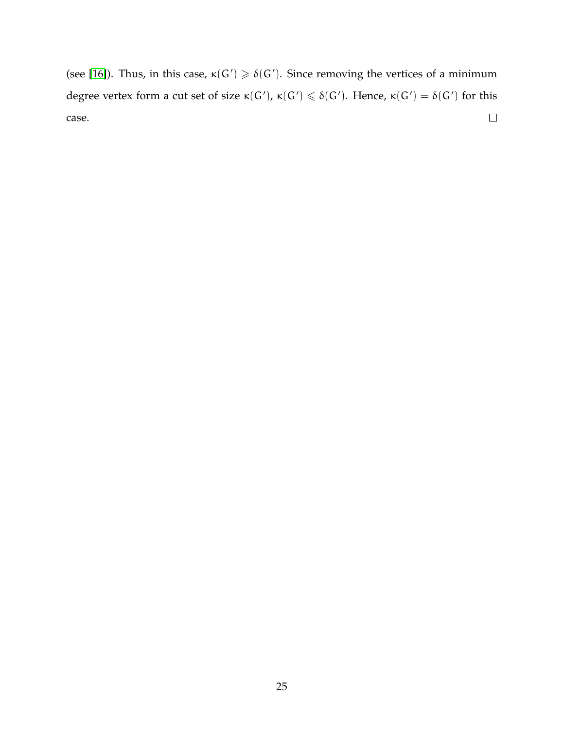(see [\[16\]](#page-48-8)). Thus, in this case,  $\kappa(G') \geq \delta(G')$ . Since removing the vertices of a minimum degree vertex form a cut set of size  $\kappa(G')$ ,  $\kappa(G') \leq \delta(G')$ . Hence,  $\kappa(G') = \delta(G')$  for this  $\hfill \square$ case.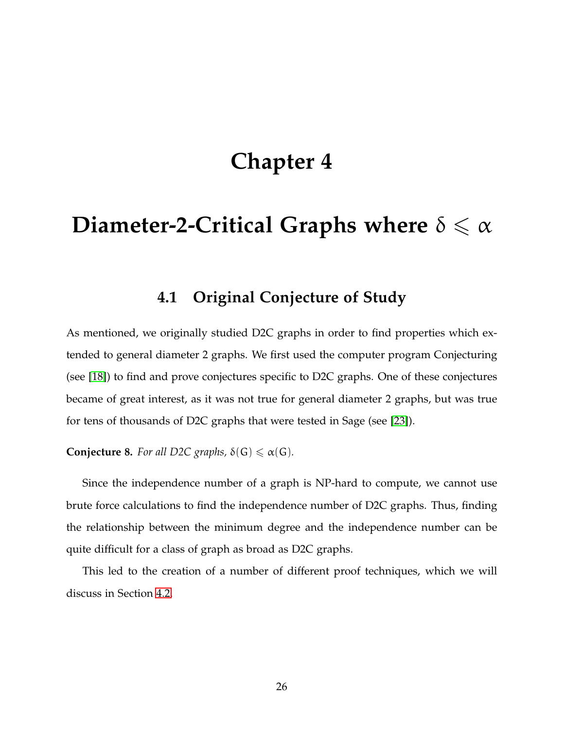### **Chapter 4**

### <span id="page-34-0"></span>**Diameter-2-Critical Graphs where** δ ⩽ α

### **4.1 Original Conjecture of Study**

<span id="page-34-1"></span>As mentioned, we originally studied D2C graphs in order to find properties which extended to general diameter 2 graphs. We first used the computer program Conjecturing (see [\[18\]](#page-48-5)) to find and prove conjectures specific to D2C graphs. One of these conjectures became of great interest, as it was not true for general diameter 2 graphs, but was true for tens of thousands of D2C graphs that were tested in Sage (see [\[23\]](#page-49-2)).

#### <span id="page-34-2"></span>**Conjecture 8.** *For all D2C graphs,*  $\delta(G) \leq \alpha(G)$ *.*

Since the independence number of a graph is NP-hard to compute, we cannot use brute force calculations to find the independence number of D2C graphs. Thus, finding the relationship between the minimum degree and the independence number can be quite difficult for a class of graph as broad as D2C graphs.

This led to the creation of a number of different proof techniques, which we will discuss in Section [4.2.](#page-35-0)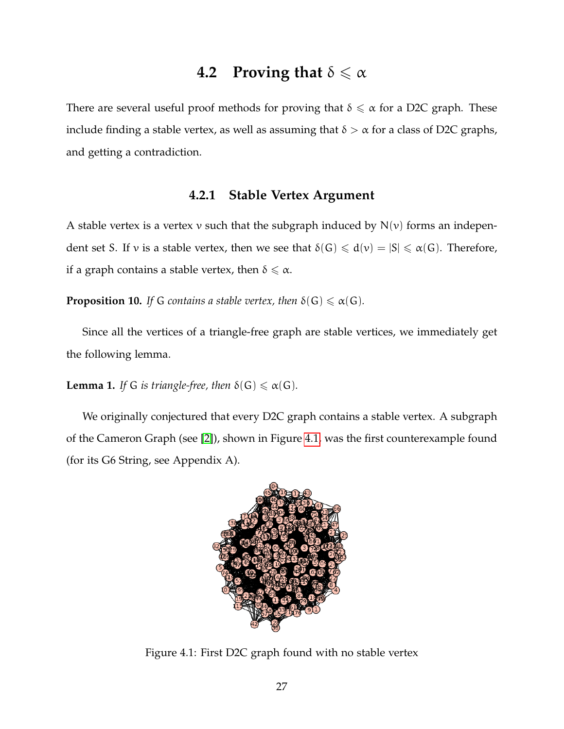### **4.2 Proving that**  $\delta \leq \alpha$

<span id="page-35-0"></span>There are several useful proof methods for proving that  $\delta \leq \alpha$  for a D2C graph. These include finding a stable vertex, as well as assuming that  $\delta > \alpha$  for a class of D2C graphs, and getting a contradiction.

#### **4.2.1 Stable Vertex Argument**

<span id="page-35-1"></span>A stable vertex is a vertex  $v$  such that the subgraph induced by  $N(v)$  forms an independent set S. If v is a stable vertex, then we see that  $\delta(G) \le d(\nu) = |S| \le \alpha(G)$ . Therefore, if a graph contains a stable vertex, then  $\delta \leq \alpha$ .

**Proposition 10.** *If* G *contains a stable vertex, then*  $\delta(G) \leq \alpha(G)$ *.* 

Since all the vertices of a triangle-free graph are stable vertices, we immediately get the following lemma.

<span id="page-35-3"></span>**Lemma 1.** *If* G *is triangle-free, then*  $\delta(G) \le \alpha(G)$ *.* 

We originally conjectured that every D2C graph contains a stable vertex. A subgraph of the Cameron Graph (see [\[2\]](#page-47-7)), shown in Figure [4.1,](#page-35-2) was the first counterexample found (for its G6 String, see Appendix A).

<span id="page-35-2"></span>

Figure 4.1: First D2C graph found with no stable vertex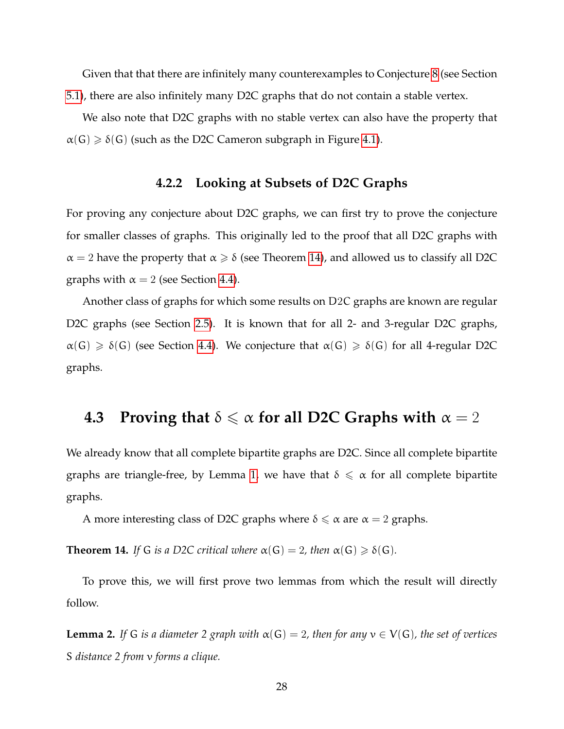Given that that there are infinitely many counterexamples to Conjecture [8](#page-34-2) (see Section [5.1\)](#page-41-1), there are also infinitely many D2C graphs that do not contain a stable vertex.

We also note that D2C graphs with no stable vertex can also have the property that  $\alpha(G) \geq \delta(G)$  (such as the D2C Cameron subgraph in Figure [4.1\)](#page-35-2).

#### **4.2.2 Looking at Subsets of D2C Graphs**

<span id="page-36-0"></span>For proving any conjecture about D2C graphs, we can first try to prove the conjecture for smaller classes of graphs. This originally led to the proof that all D2C graphs with  $\alpha = 2$  have the property that  $\alpha \geq \delta$  (see Theorem [14\)](#page-36-2), and allowed us to classify all D2C graphs with  $\alpha = 2$  (see Section [4.4\)](#page-38-0).

Another class of graphs for which some results on D2C graphs are known are regular D2C graphs (see Section [2.5\)](#page-22-0). It is known that for all 2- and 3-regular D2C graphs,  $\alpha(G) \geq \delta(G)$  (see Section [4.4\)](#page-38-0). We conjecture that  $\alpha(G) \geq \delta(G)$  for all 4-regular D2C graphs.

### <span id="page-36-1"></span>**4.3 Proving that**  $\delta \le \alpha$  for all D2C Graphs with  $\alpha = 2$

We already know that all complete bipartite graphs are D2C. Since all complete bipartite graphs are triangle-free, by Lemma [1,](#page-35-3) we have that  $\delta \leq \alpha$  for all complete bipartite graphs.

A more interesting class of D2C graphs where  $\delta \le \alpha$  are  $\alpha = 2$  graphs.

<span id="page-36-2"></span>**Theorem 14.** *If* G *is a D2C critical where*  $\alpha(G) = 2$ *, then*  $\alpha(G) \geq \delta(G)$ *.* 

To prove this, we will first prove two lemmas from which the result will directly follow.

<span id="page-36-3"></span>**Lemma 2.** If G is a diameter 2 graph with  $\alpha(G) = 2$ , then for any  $v \in V(G)$ , the set of vertices S *distance 2 from* v *forms a clique.*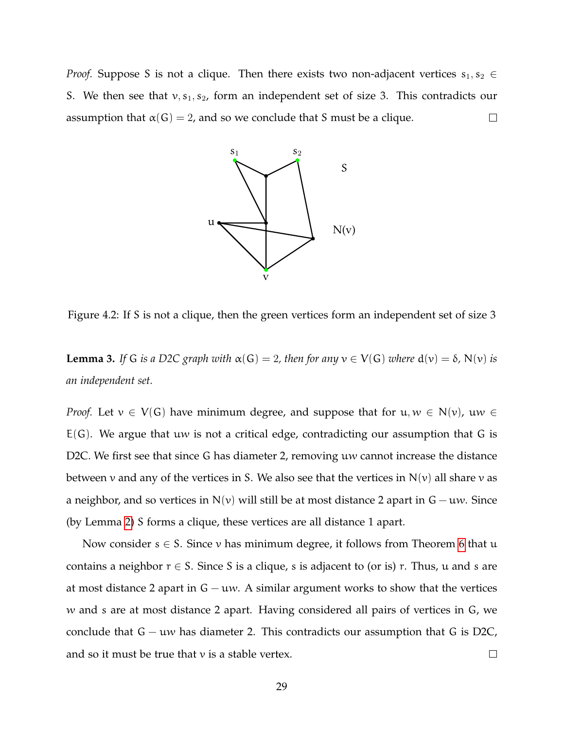*Proof.* Suppose S is not a clique. Then there exists two non-adjacent vertices  $s_1, s_2 \in$ S. We then see that  $v, s_1, s_2$ , form an independent set of size 3. This contradicts our assumption that  $\alpha(G) = 2$ , and so we conclude that S must be a clique.  $\Box$ 



<span id="page-37-0"></span>Figure 4.2: If S is not a clique, then the green vertices form an independent set of size 3

<span id="page-37-1"></span>**Lemma 3.** *If* G *is a D2C graph with*  $\alpha(G) = 2$ *, then for any*  $\nu \in V(G)$  *where*  $d(\nu) = \delta$ *,*  $N(\nu)$  *is an independent set.*

*Proof.* Let  $v \in V(G)$  have minimum degree, and suppose that for  $u, w \in N(v)$ ,  $uw \in E$  $E(G)$ . We argue that uw is not a critical edge, contradicting our assumption that G is D2C. We first see that since G has diameter 2, removing uw cannot increase the distance between v and any of the vertices in S. We also see that the vertices in  $N(v)$  all share v as a neighbor, and so vertices in  $N(v)$  will still be at most distance 2 apart in  $G - uw$ . Since (by Lemma [2\)](#page-36-3) S forms a clique, these vertices are all distance 1 apart.

Now consider  $s \in S$ . Since v has minimum degree, it follows from Theorem [6](#page-20-2) that  $u$ contains a neighbor  $r \in S$ . Since S is a clique, s is adjacent to (or is) r. Thus, u and s are at most distance 2 apart in  $G - uw$ . A similar argument works to show that the vertices w and s are at most distance 2 apart. Having considered all pairs of vertices in G, we conclude that  $G - uw$  has diameter 2. This contradicts our assumption that G is D2C, and so it must be true that v is a stable vertex.  $\Box$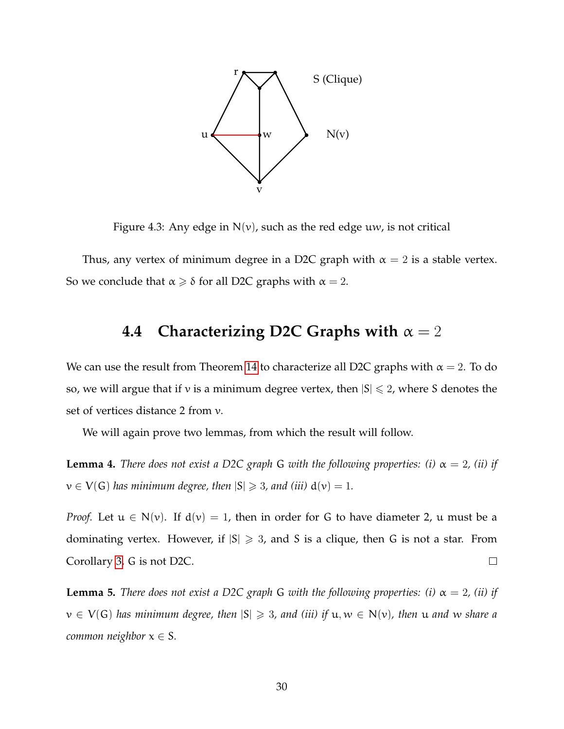

Figure 4.3: Any edge in  $N(v)$ , such as the red edge uw, is not critical

<span id="page-38-1"></span><span id="page-38-0"></span>Thus, any vertex of minimum degree in a D2C graph with  $\alpha = 2$  is a stable vertex. So we conclude that  $\alpha \geq \delta$  for all D2C graphs with  $\alpha = 2$ .

### **4.4 Characterizing D2C Graphs with**  $\alpha = 2$

We can use the result from Theorem [14](#page-36-2) to characterize all D2C graphs with  $\alpha = 2$ . To do so, we will argue that if v is a minimum degree vertex, then  $|S| \leq 2$ , where S denotes the set of vertices distance 2 from v.

We will again prove two lemmas, from which the result will follow.

<span id="page-38-2"></span>**Lemma 4.** *There does not exist a D2C graph* G *with the following properties: (i)*  $\alpha = 2$ *, (ii) if*  $v \in V(G)$  has minimum degree, then  $|S| \geq 3$ , and (iii)  $d(v) = 1$ .

*Proof.* Let  $u \in N(v)$ . If  $d(v) = 1$ , then in order for G to have diameter 2, u must be a dominating vertex. However, if  $|S| \ge 3$ , and S is a clique, then G is not a star. From Corollary [3,](#page-18-2) G is not D2C.  $\Box$ 

<span id="page-38-3"></span>**Lemma 5.** *There does not exist a D2C graph* G *with the following properties: (i)*  $\alpha = 2$ *, (ii) if*  $v \in V(G)$  has minimum degree, then  $|S| \geq 3$ , and (iii) if  $u, w \in N(v)$ , then u and w share a *common neighbor*  $x \in S$ .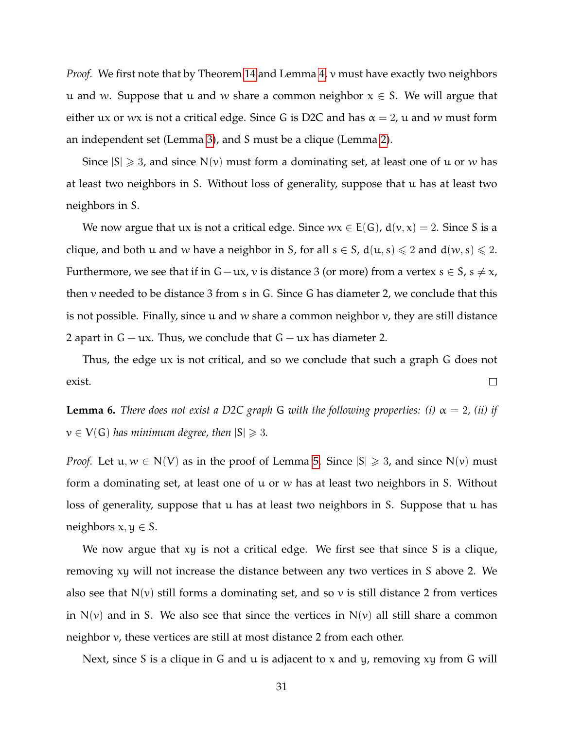*Proof.* We first note that by Theorem [14](#page-36-2) and Lemma [4,](#page-38-2) v must have exactly two neighbors u and w. Suppose that u and w share a common neighbor  $x \in S$ . We will argue that either ux or wx is not a critical edge. Since G is D2C and has  $\alpha = 2$ , u and w must form an independent set (Lemma [3\)](#page-37-1), and S must be a clique (Lemma [2\)](#page-36-3).

Since  $|S| \ge 3$ , and since N(v) must form a dominating set, at least one of u or w has at least two neighbors in S. Without loss of generality, suppose that u has at least two neighbors in S.

We now argue that ux is not a critical edge. Since  $wx \in E(G)$ ,  $d(v, x) = 2$ . Since S is a clique, and both u and w have a neighbor in S, for all  $s \in S$ ,  $d(u, s) \leq 2$  and  $d(w, s) \leq 2$ . Furthermore, we see that if in  $G-ux$ , v is distance 3 (or more) from a vertex  $s \in S$ ,  $s \neq x$ , then v needed to be distance 3 from s in G. Since G has diameter 2, we conclude that this is not possible. Finally, since  $u$  and  $w$  share a common neighbor  $v$ , they are still distance 2 apart in  $G - ux$ . Thus, we conclude that  $G - ux$  has diameter 2.

Thus, the edge ux is not critical, and so we conclude that such a graph G does not exist.  $\Box$ 

**Lemma 6.** *There does not exist a D2C graph* G *with the following properties: (i)*  $\alpha = 2$ *, (ii) if*  $v \in V(G)$  has minimum degree, then  $|S| \geq 3$ .

*Proof.* Let  $u, w \in N(V)$  as in the proof of Lemma [5.](#page-38-3) Since  $|S| \ge 3$ , and since  $N(v)$  must form a dominating set, at least one of u or w has at least two neighbors in S. Without loss of generality, suppose that u has at least two neighbors in S. Suppose that u has neighbors  $x, y \in S$ .

We now argue that xy is not a critical edge. We first see that since S is a clique, removing xy will not increase the distance between any two vertices in S above 2. We also see that  $N(v)$  still forms a dominating set, and so v is still distance 2 from vertices in  $N(v)$  and in S. We also see that since the vertices in  $N(v)$  all still share a common neighbor v, these vertices are still at most distance 2 from each other.

Next, since S is a clique in G and  $u$  is adjacent to  $x$  and  $y$ , removing  $xy$  from G will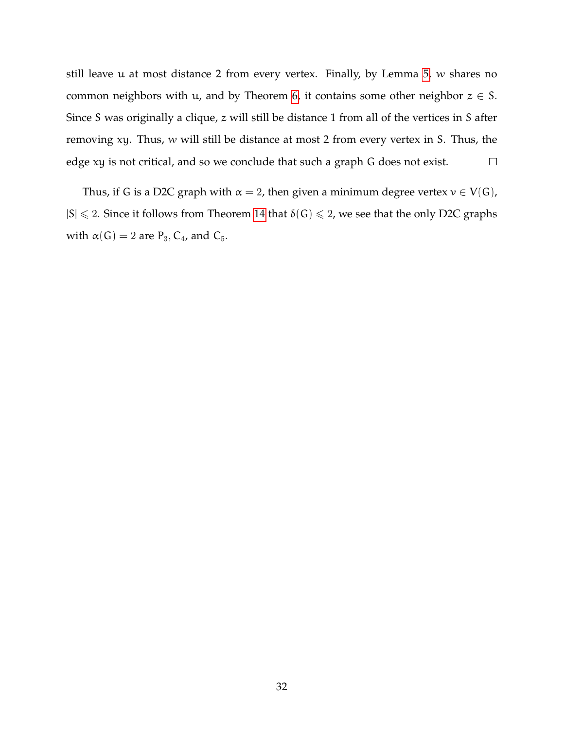still leave  $u$  at most distance 2 from every vertex. Finally, by Lemma [5,](#page-38-3)  $w$  shares no common neighbors with u, and by Theorem [6,](#page-20-2) it contains some other neighbor  $z \in S$ . Since S was originally a clique, z will still be distance 1 from all of the vertices in S after removing xy. Thus, w will still be distance at most 2 from every vertex in S. Thus, the edge xy is not critical, and so we conclude that such a graph G does not exist.  $\Box$ 

Thus, if G is a D2C graph with  $\alpha = 2$ , then given a minimum degree vertex  $v \in V(G)$ ,  $|S| \le 2$ . Since it follows from Theorem [14](#page-36-2) that  $\delta(G) \le 2$ , we see that the only D2C graphs with  $\alpha(G) = 2$  are  $P_3, C_4$ , and  $C_5$ .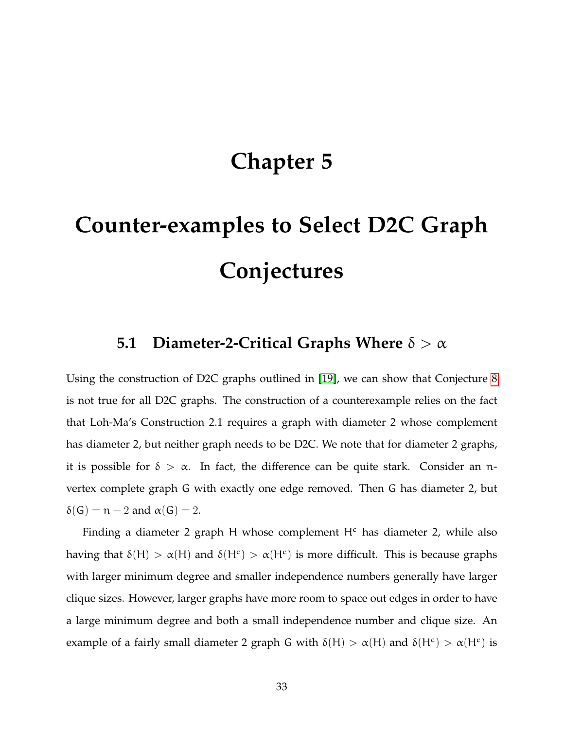### **Chapter 5**

# <span id="page-41-0"></span>**Counter-examples to Select D2C Graph Conjectures**

### <span id="page-41-1"></span>**5.1 Diameter-2-Critical Graphs Where**  $\delta > \alpha$

Using the construction of D2C graphs outlined in [\[19\]](#page-48-2), we can show that Conjecture [8](#page-34-2) is not true for all D2C graphs. The construction of a counterexample relies on the fact that Loh-Ma's Construction 2.1 requires a graph with diameter 2 whose complement has diameter 2, but neither graph needs to be D2C. We note that for diameter 2 graphs, it is possible for  $\delta > \alpha$ . In fact, the difference can be quite stark. Consider an nvertex complete graph G with exactly one edge removed. Then G has diameter 2, but  $\delta(G) = n - 2$  and  $\alpha(G) = 2$ .

Finding a diameter 2 graph H whose complement  $H<sup>c</sup>$  has diameter 2, while also having that  $\delta(H) > \alpha(H)$  and  $\delta(H^c) > \alpha(H^c)$  is more difficult. This is because graphs with larger minimum degree and smaller independence numbers generally have larger clique sizes. However, larger graphs have more room to space out edges in order to have a large minimum degree and both a small independence number and clique size. An example of a fairly small diameter 2 graph G with  $\delta(H) > \alpha(H)$  and  $\delta(H^c) > \alpha(H^c)$  is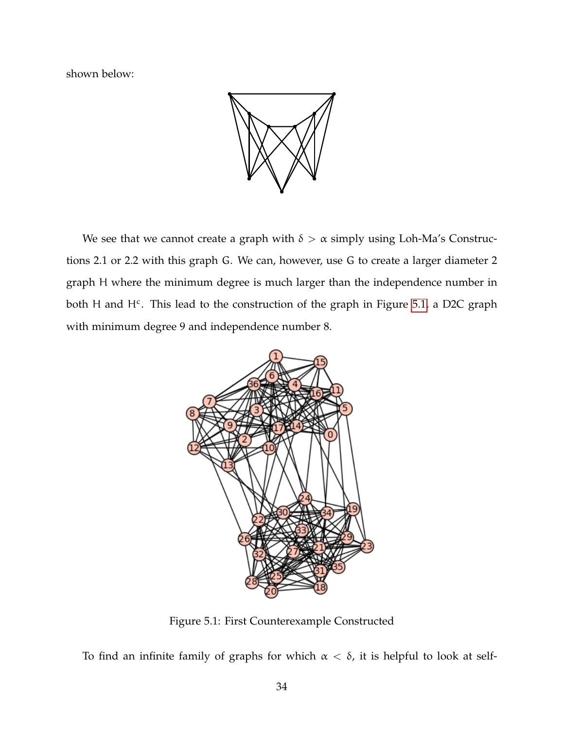shown below:



We see that we cannot create a graph with  $\delta > \alpha$  simply using Loh-Ma's Constructions 2.1 or 2.2 with this graph G. We can, however, use G to create a larger diameter 2 graph H where the minimum degree is much larger than the independence number in both H and  $H<sup>c</sup>$ . This lead to the construction of the graph in Figure [5.1,](#page-42-0) a D2C graph with minimum degree 9 and independence number 8.



<span id="page-42-0"></span>Figure 5.1: First Counterexample Constructed

To find an infinite family of graphs for which α < δ, it is helpful to look at self-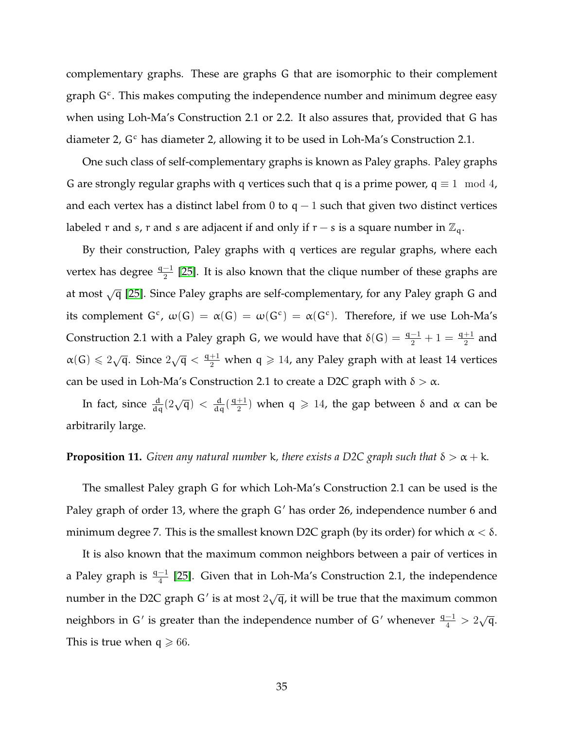complementary graphs. These are graphs G that are isomorphic to their complement graph  $G<sup>c</sup>$ . This makes computing the independence number and minimum degree easy when using Loh-Ma's Construction 2.1 or 2.2. It also assures that, provided that G has diameter 2,  $G<sup>c</sup>$  has diameter 2, allowing it to be used in Loh-Ma's Construction 2.1.

One such class of self-complementary graphs is known as Paley graphs. Paley graphs G are strongly regular graphs with q vertices such that q is a prime power,  $q \equiv 1 \mod 4$ , and each vertex has a distinct label from 0 to  $q - 1$  such that given two distinct vertices labeled r and s, r and s are adjacent if and only if  $r - s$  is a square number in  $\mathbb{Z}_q$ .

By their construction, Paley graphs with q vertices are regular graphs, where each vertex has degree  $\frac{q-1}{2}$  [\[25\]](#page-49-4). It is also known that the clique number of these graphs are at most  $\sqrt{\mathfrak{q}}$  [\[25\]](#page-49-4). Since Paley graphs are self-complementary, for any Paley graph G and its complement  $G^c$ ,  $\omega(G) = \alpha(G) = \omega(G^c) = \alpha(G^c)$ . Therefore, if we use Loh-Ma's Construction 2.1 with a Paley graph G, we would have that  $\delta(G) = \frac{q-1}{2} + 1 = \frac{q+1}{2}$  $\frac{+1}{2}$  and  $\alpha(G) \leq 2\sqrt{q}$ . Since  $2\sqrt{q} < \frac{q+1}{2}$  when  $q \geq 14$ , any Paley graph with at least 14 vertices can be used in Loh-Ma's Construction 2.1 to create a D2C graph with  $\delta > \alpha$ .

In fact, since  $\frac{d}{dq}(2\sqrt{q}) < \frac{d}{dq}(\frac{q+1}{2})$  $\frac{+1}{2}$ ) when q  $\geqslant$  14, the gap between  $\delta$  and  $\alpha$  can be arbitrarily large.

#### **Proposition 11.** *Given any natural number* k, there exists a D2C graph such that  $\delta > \alpha + k$ .

The smallest Paley graph G for which Loh-Ma's Construction 2.1 can be used is the Paley graph of order 13, where the graph G' has order 26, independence number 6 and minimum degree 7. This is the smallest known D2C graph (by its order) for which  $\alpha < \delta$ .

It is also known that the maximum common neighbors between a pair of vertices in a Paley graph is  $\frac{q-1}{4}$  [\[25\]](#page-49-4). Given that in Loh-Ma's Construction 2.1, the independence number in the D2C graph G $^{\prime}$  is at most  $2\sqrt{\mathsf{q}}$ , it will be true that the maximum common neighbors in G' is greater than the independence number of G' whenever  $\frac{q-1}{4} > 2\sqrt{q}$ . This is true when  $q \ge 66$ .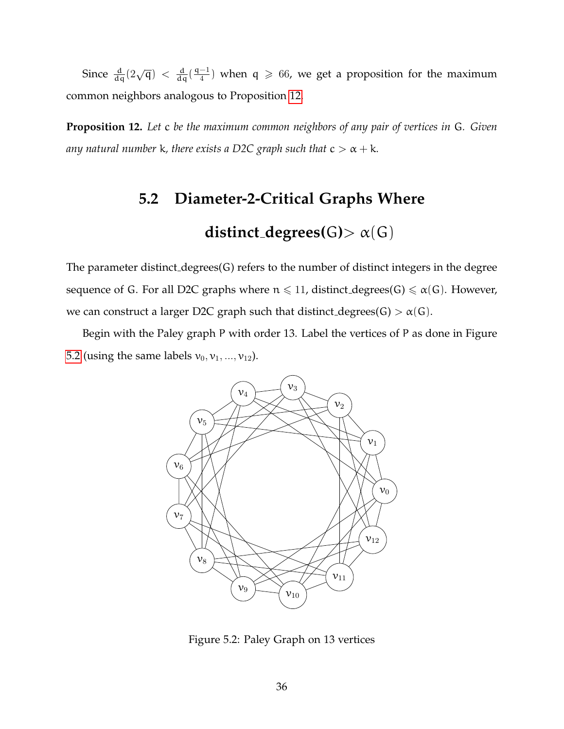Since  $\frac{d}{dq}$  $(2\sqrt{q}) < \frac{d}{dq}$  $(\frac{q-1}{4})$  $\frac{-1}{4}$ ) when q  $\geqslant 66$ , we get a proposition for the maximum common neighbors analogous to Proposition [12.](#page-44-2)

<span id="page-44-2"></span><span id="page-44-0"></span>**Proposition 12.** *Let* c *be the maximum common neighbors of any pair of vertices in* G*. Given any natural number* k, there exists a D2C graph such that  $c > \alpha + k$ .

# **5.2 Diameter-2-Critical Graphs Where distinct\_degrees(G)**>  $\alpha$ (G)

The parameter distinct degrees(G) refers to the number of distinct integers in the degree sequence of G. For all D2C graphs where  $n \leq 11$ , distinct degrees(G)  $\leq \alpha(G)$ . However, we can construct a larger D2C graph such that distinct degrees(G)  $>\alpha(G)$ .

Begin with the Paley graph P with order 13. Label the vertices of P as done in Figure [5.2](#page-44-1) (using the same labels  $v_0, v_1, ..., v_{12}$ ).



<span id="page-44-1"></span>Figure 5.2: Paley Graph on 13 vertices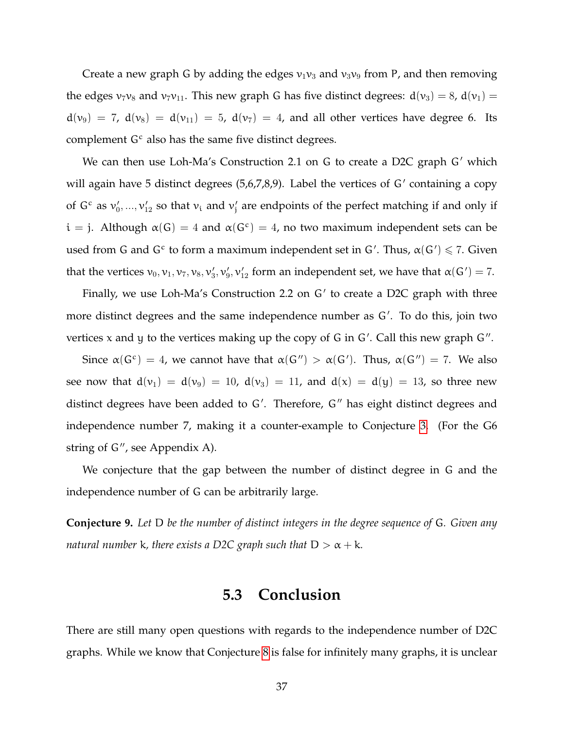Create a new graph G by adding the edges  $v_1v_3$  and  $v_3v_9$  from P, and then removing the edges  $v_7v_8$  and  $v_7v_{11}$ . This new graph G has five distinct degrees:  $d(v_3) = 8$ ,  $d(v_1) =$  $d(v_9) = 7$ ,  $d(v_8) = d(v_{11}) = 5$ ,  $d(v_7) = 4$ , and all other vertices have degree 6. Its complement  $G<sup>c</sup>$  also has the same five distinct degrees.

We can then use Loh-Ma's Construction 2.1 on G to create a D2C graph G′ which will again have 5 distinct degrees (5,6,7,8,9). Label the vertices of G' containing a copy of  $G^c$  as  $v'_0, ..., v'_{12}$  so that  $v_i$  and  $v'_j$  are endpoints of the perfect matching if and only if i = j. Although  $\alpha(G) = 4$  and  $\alpha(G^c) = 4$ , no two maximum independent sets can be used from G and G<sup>c</sup> to form a maximum independent set in G'. Thus,  $\alpha(G') \leq 7$ . Given that the vertices  $v_0$ ,  $v_1$ ,  $v_7$ ,  $v_8$ ,  $v'_3$ ,  $v'_1$ ,  $v'_2$  form an independent set, we have that  $\alpha(G') = 7$ .

Finally, we use Loh-Ma's Construction 2.2 on G′ to create a D2C graph with three more distinct degrees and the same independence number as G′ . To do this, join two vertices x and y to the vertices making up the copy of G in G'. Call this new graph G".

Since  $\alpha(G^c) = 4$ , we cannot have that  $\alpha(G'') > \alpha(G')$ . Thus,  $\alpha(G'') = 7$ . We also see now that  $d(v_1) = d(v_9) = 10$ ,  $d(v_3) = 11$ , and  $d(x) = d(y) = 13$ , so three new distinct degrees have been added to G'. Therefore, G" has eight distinct degrees and independence number 7, making it a counter-example to Conjecture [3.](#page-30-0) (For the G6 string of G′′, see Appendix A).

We conjecture that the gap between the number of distinct degree in G and the independence number of G can be arbitrarily large.

<span id="page-45-0"></span>**Conjecture 9.** *Let* D *be the number of distinct integers in the degree sequence of* G*. Given any natural number* k, there exists a D2C graph such that  $D > \alpha + k$ .

#### **5.3 Conclusion**

There are still many open questions with regards to the independence number of D2C graphs. While we know that Conjecture [8](#page-34-2) is false for infinitely many graphs, it is unclear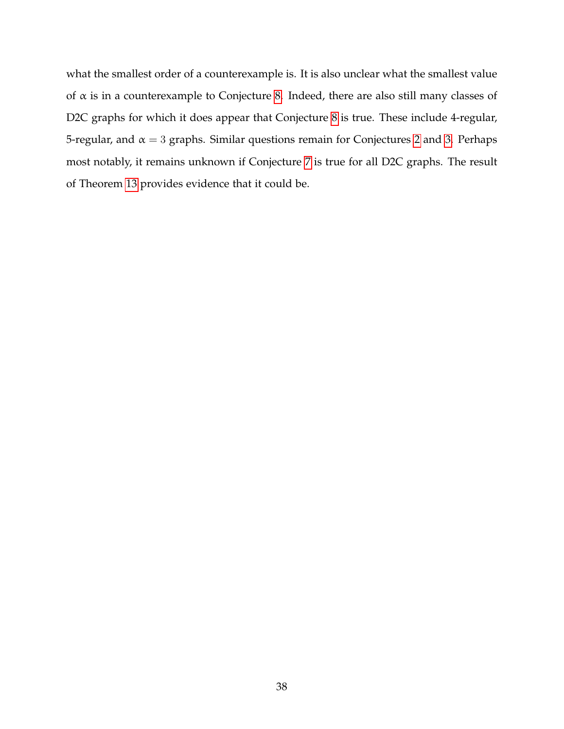what the smallest order of a counterexample is. It is also unclear what the smallest value of  $\alpha$  is in a counterexample to Conjecture [8.](#page-34-2) Indeed, there are also still many classes of D2C graphs for which it does appear that Conjecture [8](#page-34-2) is true. These include 4-regular, 5-regular, and  $\alpha = 3$  graphs. Similar questions remain for Conjectures [2](#page-29-1) and [3.](#page-30-0) Perhaps most notably, it remains unknown if Conjecture [7](#page-32-1) is true for all D2C graphs. The result of Theorem [13](#page-32-2) provides evidence that it could be.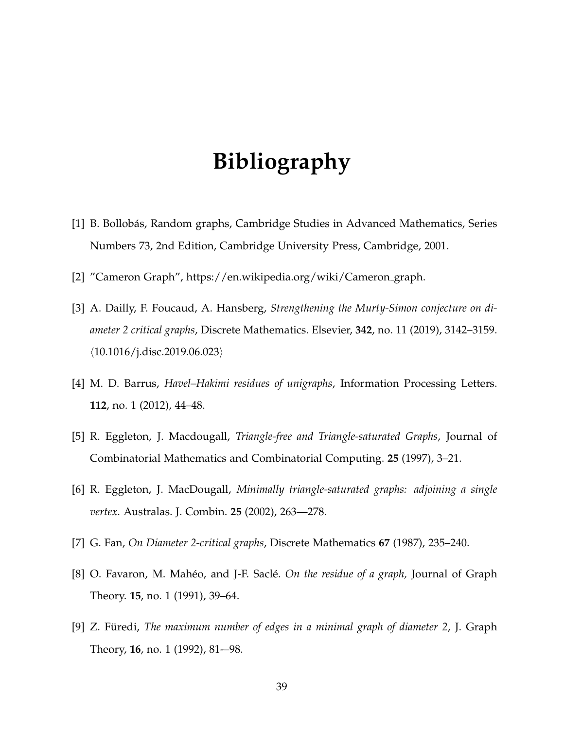# **Bibliography**

- <span id="page-47-1"></span><span id="page-47-0"></span>[1] B. Bollobás, Random graphs, Cambridge Studies in Advanced Mathematics, Series Numbers 73, 2nd Edition, Cambridge University Press, Cambridge, 2001.
- <span id="page-47-7"></span><span id="page-47-2"></span>[2] "Cameron Graph", https://en.wikipedia.org/wiki/Cameron graph.
- [3] A. Dailly, F. Foucaud, A. Hansberg, *Strengthening the Murty-Simon conjecture on diameter 2 critical graphs*, Discrete Mathematics. Elsevier, **342**, no. 11 (2019), 3142–3159.  $(10.1016/j.disc.2019.06.023)$
- <span id="page-47-6"></span>[4] M. D. Barrus, *Havel–Hakimi residues of unigraphs*, Information Processing Letters. **112**, no. 1 (2012), 44–48.
- [5] R. Eggleton, J. Macdougall, *Triangle-free and Triangle-saturated Graphs*, Journal of Combinatorial Mathematics and Combinatorial Computing. **25** (1997), 3–21.
- [6] R. Eggleton, J. MacDougall, *Minimally triangle-saturated graphs: adjoining a single vertex.* Australas. J. Combin. **25** (2002), 263—278.
- <span id="page-47-5"></span><span id="page-47-3"></span>[7] G. Fan, *On Diameter 2-critical graphs*, Discrete Mathematics **67** (1987), 235–240.
- [8] O. Favaron, M. Mahéo, and J-F. Saclé. On the residue of a graph, Journal of Graph Theory. **15**, no. 1 (1991), 39–64.
- <span id="page-47-4"></span>[9] Z. Füredi, *The maximum number of edges in a minimal graph of diameter 2*, J. Graph Theory, **16**, no. 1 (1992), 81-–98.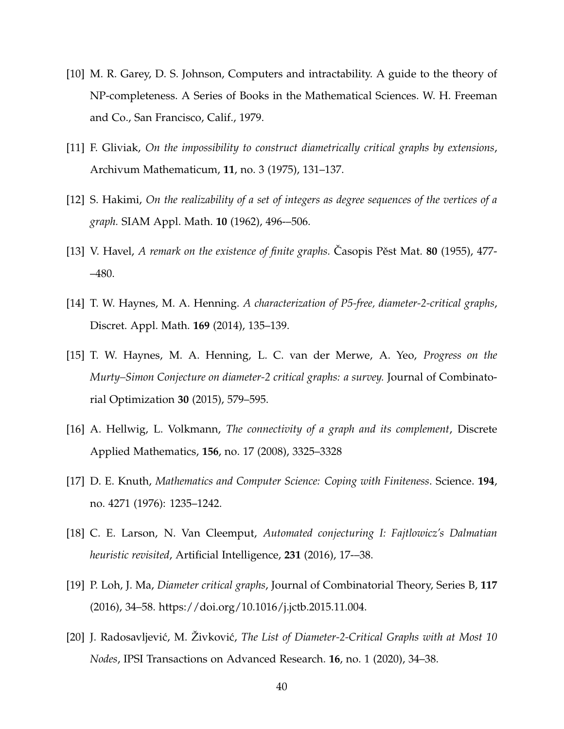- <span id="page-48-0"></span>[10] M. R. Garey, D. S. Johnson, Computers and intractability. A guide to the theory of NP-completeness. A Series of Books in the Mathematical Sciences. W. H. Freeman and Co., San Francisco, Calif., 1979.
- <span id="page-48-1"></span>[11] F. Gliviak, *On the impossibility to construct diametrically critical graphs by extensions*, Archivum Mathematicum, **11**, no. 3 (1975), 131–137.
- <span id="page-48-6"></span>[12] S. Hakimi, *On the realizability of a set of integers as degree sequences of the vertices of a graph.* SIAM Appl. Math. **10** (1962), 496-–506.
- <span id="page-48-7"></span>[13] V. Havel, *A remark on the existence of finite graphs*. Casopis Pěst Mat. 80 (1955), 477-–480.
- [14] T. W. Haynes, M. A. Henning. *A characterization of P5-free, diameter-2-critical graphs*, Discret. Appl. Math. **169** (2014), 135–139.
- [15] T. W. Haynes, M. A. Henning, L. C. van der Merwe, A. Yeo, *Progress on the Murty–Simon Conjecture on diameter-2 critical graphs: a survey.* Journal of Combinatorial Optimization **30** (2015), 579–595.
- <span id="page-48-8"></span>[16] A. Hellwig, L. Volkmann, *The connectivity of a graph and its complement*, Discrete Applied Mathematics, **156**, no. 17 (2008), 3325–3328
- <span id="page-48-3"></span>[17] D. E. Knuth, *Mathematics and Computer Science: Coping with Finiteness*. Science. **194**, no. 4271 (1976): 1235–1242.
- <span id="page-48-5"></span>[18] C. E. Larson, N. Van Cleemput, *Automated conjecturing I: Fajtlowicz's Dalmatian heuristic revisited*, Artificial Intelligence, **231** (2016), 17-–38.
- <span id="page-48-2"></span>[19] P. Loh, J. Ma, *Diameter critical graphs*, Journal of Combinatorial Theory, Series B, **117** (2016), 34–58. https://doi.org/10.1016/j.jctb.2015.11.004.
- <span id="page-48-4"></span>[20] J. Radosavljević, M. Živković, The List of Diameter-2-Critical Graphs with at Most 10 *Nodes*, IPSI Transactions on Advanced Research. **16**, no. 1 (2020), 34–38.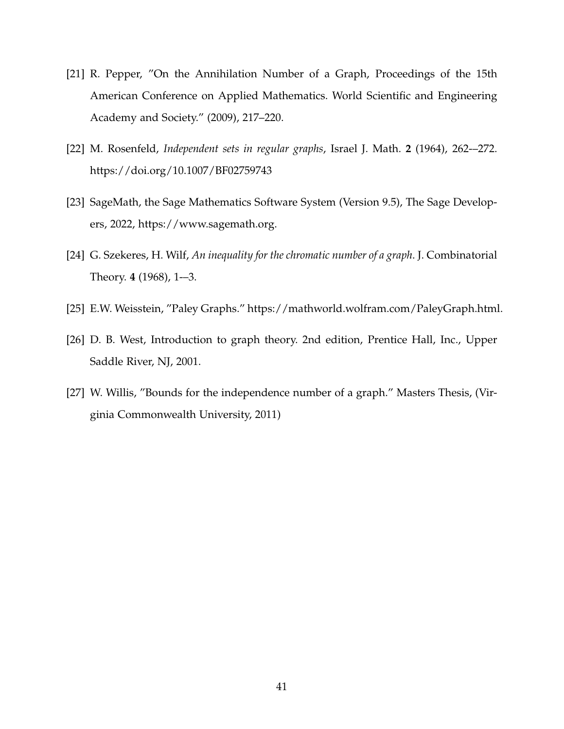- <span id="page-49-3"></span>[21] R. Pepper, "On the Annihilation Number of a Graph, Proceedings of the 15th American Conference on Applied Mathematics. World Scientific and Engineering Academy and Society." (2009), 217–220.
- [22] M. Rosenfeld, *Independent sets in regular graphs*, Israel J. Math. **2** (1964), 262-–272. https://doi.org/10.1007/BF02759743
- <span id="page-49-2"></span>[23] SageMath, the Sage Mathematics Software System (Version 9.5), The Sage Developers, 2022, https://www.sagemath.org.
- <span id="page-49-1"></span>[24] G. Szekeres, H. Wilf, *An inequality for the chromatic number of a graph*. J. Combinatorial Theory. **4** (1968), 1-–3.
- <span id="page-49-4"></span><span id="page-49-0"></span>[25] E.W. Weisstein, "Paley Graphs." https://mathworld.wolfram.com/PaleyGraph.html.
- [26] D. B. West, Introduction to graph theory. 2nd edition, Prentice Hall, Inc., Upper Saddle River, NJ, 2001.
- [27] W. Willis, "Bounds for the independence number of a graph." Masters Thesis, (Virginia Commonwealth University, 2011)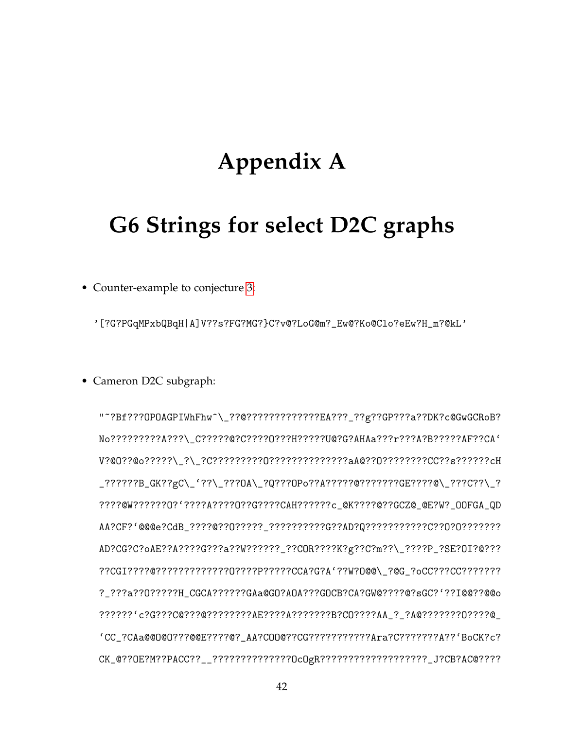# **Appendix A**

## <span id="page-50-0"></span>**G6 Strings for select D2C graphs**

• Counter-example to conjecture [3:](#page-30-0)

'[?G?PGqMPxbQBqH|A]V??s?FG?MG?}C?v@?LoG@m?\_Ew@?Ko@Clo?eEw?H\_m?@kL'

• Cameron D2C subgraph:

"~?Bf???OPOAGPIWhFhw^\\_??@?????????????EA???\_??g??GP???a??DK?c@GwGCRoB? No?????????A???\\_C?????@?C????O???H?????U@?G?AHAa???r???A?B?????AF??CA' V?@O??@o?????\\_?\\_?C?????????O??????????????aA@??O????????CC??s??????cH \_??????B\_GK??gC\\_'??\\_???OA\\_?Q???OPo??A?????@???????GE????@\\_???C??\\_? ????@W??????O?'????A????O??G????CAH??????c\_@K????@??GCZ@\_@E?W?\_OOFGA\_QD AA?CF?'@@@e?CdB\_????@??O?????\_??????????G??AD?Q???????????C??O?O??????? AD?CG?C?oAE??A????G???a??W??????\_??COR????K?g??C?m??\\_????P\_?SE?OI?@??? ??CGI????@?????????????O????P?????CCA?G?A'??W?O@@\\_?@G\_?oCC???CC??????? ?\_???a??O?????H\_CGCA??????GAa@GO?AOA???GOCB?CA?GW@????@?sGC?'??I@@??@@o ??????'c?G???C@???@????????AE????A???????B?CO????AA\_?\_?A@???????O????@\_ 'CC\_?CAa@@O@O???@@E????@?\_AA?COO@??CG???????????Ara?C???????A??'BoCK?c? CK\_@??OE?M??PACC??\_\_??????????????OcOgR???????????????????\_J?CB?AC@????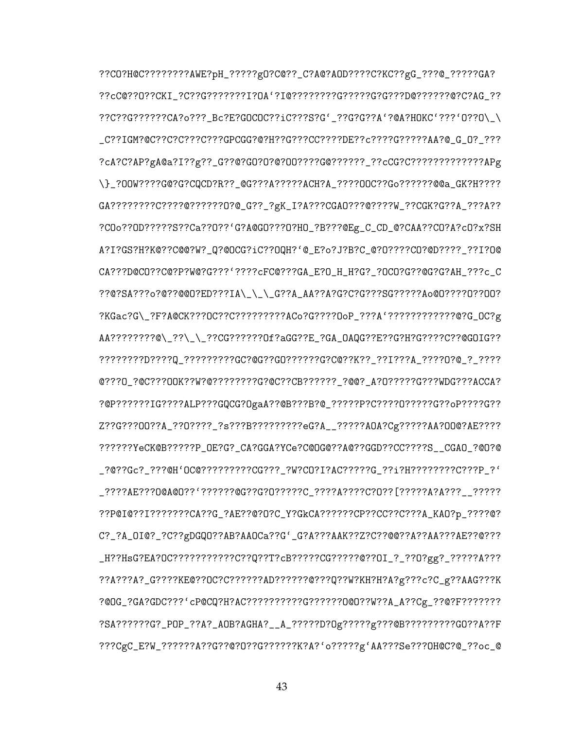??CO?H@C????????AWE?pH\_?????gO?C@??\_C?A@?AOD????C?KC??gG\_???@\_?????GA? ??cC@??O??CKI\_?C??G???????I?OA'?I@????????G?????G?G???D@??????@?C?AG\_?? ??C??G??????CA?o???\_Bc?E?GOCOC??iC???S?G'\_??G?G??A'?@A?HOKC'???'O??O\\_\ \_C??IGM?@C??C?C???C???GPCGG?@?H??G???CC????DE??c????G?????AA?@\_G\_O?\_??? ?cA?C?AP?gA@a?I??g??\_G??@?GO?O?@?OO????G@??????\_??cCG?C?????????????APg \}\_?OOW????G@?G?CQCD?R??\_@G???A?????ACH?A\_????OOC??Go??????@@a\_GK?H???? GA????????C????@??????O?@\_G??\_?gK\_I?A???CGAO???@????W\_??CGK?G??A\_???A?? ?COo??OD?????S??Ca??O??'G?A@GO???O?HO\_?B???@Eg\_C\_CD\_@?CAA??CO?A?cO?x?SH A?I?GS?H?K@??C@@?W?\_Q?@OCG?iC??OQH?'@\_E?o?J?B?C\_@?O????CO?@D????\_??I?O@ CA???D@CO??C@?P?W@?G???'????cFC@???GA\_E?O\_H\_H?G?\_?OCO?G??@G?G?AH\_???c\_C ??@?SA???o?@??@@O?ED???IA\\_\\_\\_G??A\_AA??A?G?C?G???SG?????Ao@O????O??OO? ?KGac?G\\_?F?A@CK???OC??C?????????ACo?G????OoP\_???A'????????????@?G\_OC?g AA????????@\\_??\\_\\_??CG??????Of?aGG??E\_?GA\_OAQG??E??G?H?G????C??@GOIG?? ????????D????Q\_?????????GC?@G??GO??????G?C@??K??\_??I???A\_????O?@\_?\_???? @???O\_?@C???OOK??W?@????????G?@C??CB??????\_?@@?\_A?O?????G???WDG???ACCA? ?@P??????IG????ALP???GQCG?OgaA??@B???B?@\_?????P?C????O?????G??oP????G?? Z??G???OO??A\_??O????\_?s???B?????????eG?A\_\_?????AOA?Cg?????AA?OO@?AE???? ??????YeCK@B?????P\_OE?G?\_CA?GGA?YCe?C@OG@??A@??GGD??CC????S\_\_CGAO\_?@O?@ \_?@??Gc?\_???@H'OC@?????????CG???\_?W?CO?I?AC?????G\_??i?H????????C???P\_?' \_????AE???O@A@O??'??????@G??G?O?????C\_????A????C?O??[?????A?A???\_\_????? ??P@I@??I???????CA??G\_?AE??@?O?C\_Y?GkCA??????CP??CC??C???A\_KAO?p\_????@? C?\_?A\_OI@?\_?C??gDGQO??AB?AAOCa??G'\_G?A???AAK??Z?C??@@??A??AA???AE??@??? \_H??HsG?EA?OC???????????C??Q??T?cB?????CG?????@??OI\_?\_??O?gg?\_?????A??? ??A???A?\_G????KE@??OC?C??????AD??????@???Q??W?KH?H?A?g???c?C\_g??AAG???K ?@OG\_?GA?GDC???'cP@CQ?H?AC??????????G??????O@O??W??A\_A??Cg\_??@?F??????? ?SA??????G?\_POP\_??A?\_AOB?AGHA?\_\_A\_?????D?Og?????g???@B?????????GO??A??F ???CgC\_E?W\_??????A??G??@?O??G??????K?A?'o?????g'AA???Se???OH@C?@\_??oc\_@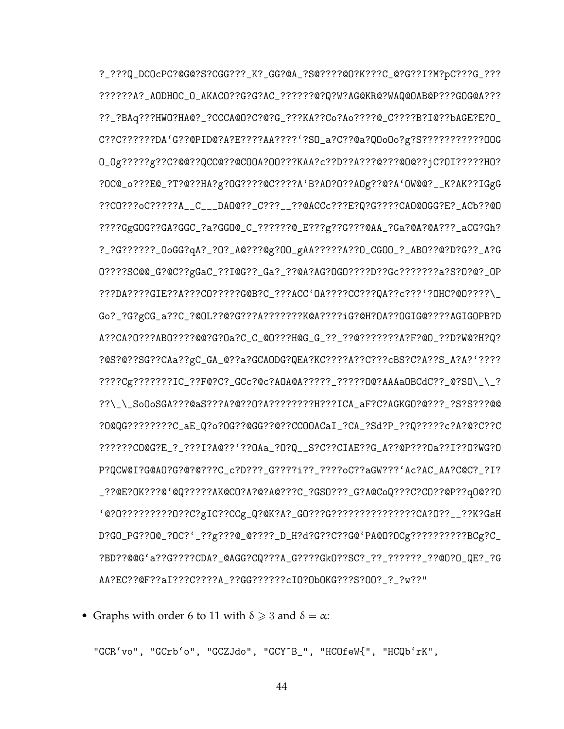?\_???Q\_DCOcPC?@G@?S?CGG???\_K?\_GG?@A\_?S@????@O?K???C\_@?G??I?M?pC???G\_??? ??????A?\_AODHOC\_O\_AKACO??G?G?AC\_??????@?Q?W?AG@KR@?WAQ@OAB@P???GOG@A??? ??\_?BAq???HWO?HA@?\_?CCCA@O?C?@?G\_???KA??Co?Ao????@\_C????B?I@??bAGE?E?O\_ C??C??????DA'G??@PID@?A?E????AA????'?SO\_a?C??@a?QOoOo?g?S???????????OOG O\_Og?????g??C?@@??QCC@??@COOA?OO???KAA?c??D??A???@???@O@??jC?OI?????HO? ?OC@\_o???E@\_?T?@??HA?g?OG????@C????A'B?AO?O??AOg??@?A'OW@@?\_\_K?AK??IGgG ??CO???oC?????A\_\_C\_\_\_DAO@??\_C???\_\_??@ACCc???E?Q?G????CAO@OGG?E?\_ACb??@O ????GgGOG??GA?GGC\_?a?GGO@\_C\_??????@\_E???g??G???@AA\_?Ga?@A?@A???\_aCG?Gh? ?\_?G??????\_OoGG?qA?\_?O?\_A@???@g?OO\_gAA?????A??O\_CGOO\_?\_ABO??@?D?G??\_A?G O????SC@@\_G?@C??gGaC\_??I@G??\_Ga?\_??@A?AG?OGO????D??Gc???????a?S?O?@?\_OP ???DA????GIE??A???CO?????G@B?C\_???ACC'OA????CC???QA??c???'?OHC?@O????\\_ Go?\_?G?gCG\_a??C\_?@OL??@?G???A???????K@A????iG?@H?OA??OGIG@????AGIGOPB?D A??CA?O???ABO????@@?G?Oa?C\_C\_@O???H@G\_G\_??\_??@???????A?F?@O\_??D?W@?H?Q? ?@S?@??SG??CAa??gC\_GA\_@??a?GCAODG?QEA?KC????A??C???cBS?C?A??S\_A?A?'???? ????Cg???????IC\_??F@?C?\_GCc?@c?AOA@A?????\_?????O@?AAAaOBCdC??\_@?SO\\_\\_? ??\\_\\_SoOoSGA???@aS???A?@??O?A????????H???ICA\_aF?C?AGKGO?@???\_?S?S???@@ ?O@QG????????C\_aE\_Q?o?OG??@GG??@??CCOOACaI\_?CA\_?Sd?P\_??Q?????c?A?@?C??C ??????CO@G?E\_?\_???I?A@??'??OAa\_?O?Q\_\_S?C??CIAE??G\_A??@P???Oa??I??O?WG?O P?QCW@I?G@AO?G?@?@???C\_c?D???\_G????i??\_????oC??aGW???'Ac?AC\_AA?C@C?\_?I? \_??@E?OK???@'@Q?????AK@CO?A?@?A@???C\_?GSO???\_G?A@CoQ???C?CO??@P??qO@??O '@?O?????????O??C?gIC??CCg\_Q?@K?A?\_GO???G???????????????CA?O??\_\_??K?GsH D?GO\_PG??O@\_?OC?'\_??g???@\_@????\_D\_H?d?G??C??G@'PA@O?OCg??????????BCg?C\_ ?BD??@@G'a??G????CDA?\_@AGG?CQ???A\_G????GkO??SC?\_??\_??????\_??@O?O\_QE?\_?G AA?EC??@F??aI???C????A\_??GG??????cIO?ObOKG???S?OO?\_?\_?w??"

• Graphs with order 6 to 11 with  $\delta \geq 3$  and  $\delta = \alpha$ :

"GCR'vo", "GCrb'o", "GCZJdo", "GCY^B\_", "HCOfeW{", "HCQb'rK",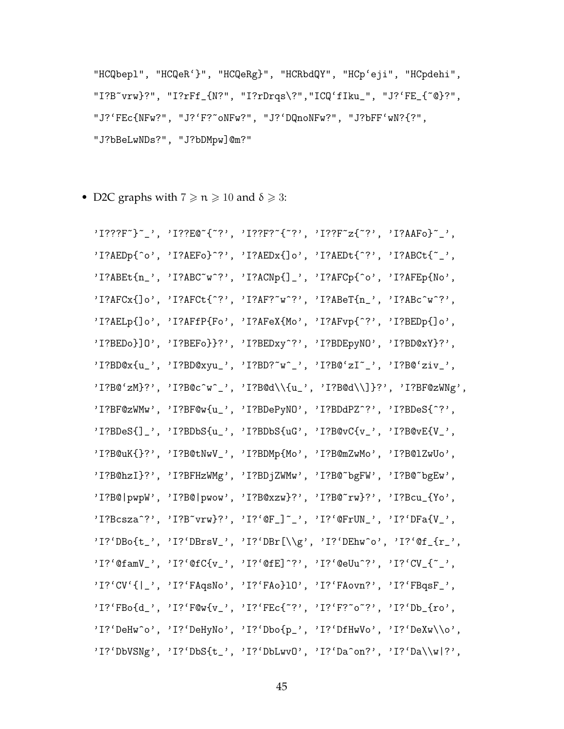"HCQbepl", "HCQeR'}", "HCQeRg}", "HCRbdQY", "HCp'eji", "HCpdehi", "I?B~vrw}?", "I?rFf\_{N?", "I?rDrqs\?","ICQ'fIku\_", "J?'FE\_{~@}?", "J?'FEc{NFw?", "J?'F?~oNFw?", "J?'DQnoNFw?", "J?bFF'wN?{?", "J?bBeLwNDs?", "J?bDMpw]@m?"

• D2C graphs with  $7 \ge n \ge 10$  and  $\delta \ge 3$ :

|  | 'I???F~}~_', 'I??E@~{~?', 'I??F?~{~?', 'I??F~z{~?', 'I?AAFo}~_',   |
|--|--------------------------------------------------------------------|
|  | 'I?AEDp{^o', 'I?AEFo}^?', 'I?AEDx{]o', 'I?AEDt{^?', 'I?ABCt{~_',   |
|  | 'I?ABEt{n_', 'I?ABC~w^?', 'I?ACNp{]_', 'I?AFCp{^o', 'I?AFEp{No',   |
|  | 'I?AFCx{]o', 'I?AFCt{^?', 'I?AF?~w^?', 'I?ABeT{n_', 'I?ABc^w^?',   |
|  | 'I?AELp{]o', 'I?AFfP{Fo', 'I?AFeX{Mo', 'I?AFvp{^?', 'I?BEDp{]o',   |
|  | 'I?BEDo}]O', 'I?BEFo}}?', 'I?BEDxy^?', 'I?BDEpyNO', 'I?BD@xY}?',   |
|  | 'I?BD@x{u_', 'I?BD@xyu_', 'I?BD?~w^_', 'I?B@'zI~_', 'I?B@'ziv_',   |
|  | 'I?B@'zM}?', 'I?B@c^w^_', 'I?B@d\\{u_', 'I?B@d\\]}?', 'I?BF@zWNg', |
|  | 'I?BF@zWMw', 'I?BF@w{u_', 'I?BDePyNO', 'I?BDdPZ^?', 'I?BDeS{^?',   |
|  | 'I?BDeS{]_', 'I?BDbS{u_', 'I?BDbS{uG', 'I?B@vC{v_', 'I?B@vE{V_',   |
|  | 'I?B@uK{}?', 'I?B@tNwV_', 'I?BDMp{Mo', 'I?B@mZwMo', 'I?B@lZwUo',   |
|  | 'I?B@hzI}?', 'I?BFHzWMg', 'I?BDjZWMw', 'I?B@~bgFW', 'I?B@~bgEw',   |
|  | 'I?B@ pwpW', 'I?B@ pwow', 'I?B@xzw}?', 'I?B@~rw}?', 'I?Bcu_{Yo',   |
|  | 'I?Bcsza^?', 'I?B~vrw}?', 'I?'@F_]~_', 'I?'@FrUN_', 'I?'DFa{V_',   |
|  | 'I?'DBo{t_', 'I?'DBrsV_', 'I?'DBr[\\g', 'I?'DEhw^o', 'I?'@f_{r_',  |
|  | 'I?'@famV_', 'I?'@fC{v_', 'I?'@fE]^?', 'I?'@eUu^?', 'I?'CV_{~_',   |
|  | 'I?'CV'{ _', 'I?'FAqsNo', 'I?'FAo}10', 'I?'FAovn?', 'I?'FBqsF_',   |
|  | 'I?'FBo{d_', 'I?'F@w{v_', 'I?'FEc{~?', 'I?'F?~o~?', 'I?'Db_{ro',   |
|  | 'I?'DeHw^o', 'I?'DeHyNo', 'I?'Dbo{p_', 'I?'DfHwVo', 'I?'DeXw\\o',  |
|  | 'I?'DbVSNg', 'I?'DbS{t_', 'I?'DbLwvO', 'I?'Da^on?', 'I?'Da\\w ?',  |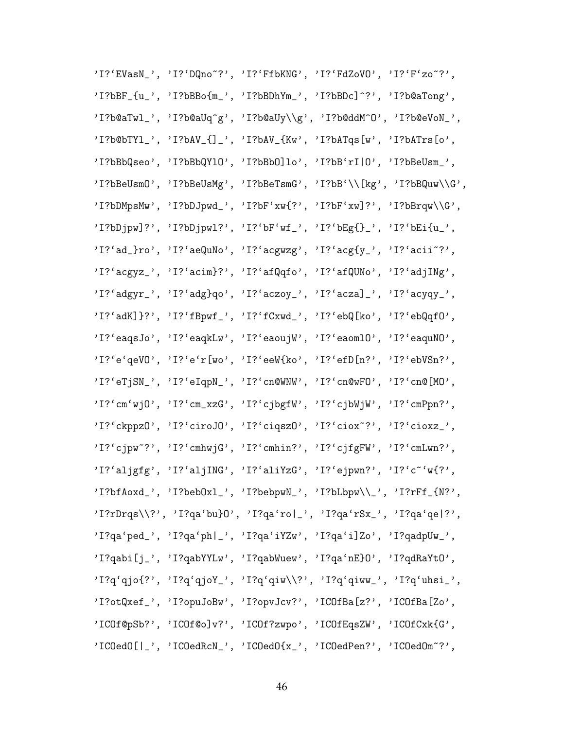|  | 'I?'EVasN_', 'I?'DQno~?', 'I?'FfbKNG', 'I?'FdZoVO', 'I?'F'zo~?',                |  |
|--|---------------------------------------------------------------------------------|--|
|  | 'I?bBF_{u_', 'I?bBBo{m_', 'I?bBDhYm_', 'I?bBDc]^?', 'I?b@aTong',                |  |
|  | 'I?b@aTwl_', 'I?b@aUq^g', 'I?b@aUy\\g', 'I?b@ddM^O', 'I?b@eVoN_',               |  |
|  | 'I?b@bTYl_', 'I?bAV_{]_', 'I?bAV_{Kw', 'I?bATqs[w', 'I?bATrs[o',                |  |
|  | 'I?bBbQseo', 'I?bBbQY10', 'I?bBbO]lo', 'I?bB'rI 0', 'I?bBeUsm_',                |  |
|  | 'I?bBeUsmO', 'I?bBeUsMg', 'I?bBeTsmG', 'I?bB'\\[kg', 'I?bBQuw\\G',              |  |
|  | 'I?bDMpsMw', 'I?bDJpwd_', 'I?bF'xw{?', 'I?bF'xw]?', 'I?bBrqw\\G',               |  |
|  | 'I?bDjpw]?', 'I?bDjpwl?', 'I?'bF'wf_', 'I?'bEg{}_', 'I?'bEi{u_',                |  |
|  | 'I?'ad_}ro', 'I?'aeQuNo', 'I?'acgwzg', 'I?'acg{y_', 'I?'acii <sup>~</sup> ?',   |  |
|  | 'I?'acgyz_', 'I?'acim}?', 'I?'afQqfo', 'I?'afQUNo', 'I?'adjINg',                |  |
|  | 'I?'adgyr_', 'I?'adg}qo', 'I?'aczoy_', 'I?'acza]_', 'I?'acyqy_',                |  |
|  | 'I?'adK]}?', 'I?'fBpwf_', 'I?'fCxwd_', 'I?'ebQ[ko', 'I?'ebQqf0',                |  |
|  | 'I?'eaqsJo', 'I?'eaqkLw', 'I?'eaoujW', 'I?'eaom10', 'I?'eaquNO',                |  |
|  | 'I?'e'qeVO', 'I?'e'r[wo', 'I?'eeW{ko', 'I?'efD[n?', 'I?'ebVSn?',                |  |
|  | 'I?'eTjSN_', 'I?'eIqpN_', 'I?'cn@WNW', 'I?'cn@wFO', 'I?'cn@[MO',                |  |
|  | 'I?'cm'wjO', 'I?'cm_xzG', 'I?'cjbgfW', 'I?'cjbWjW', 'I?'cmPpn?',                |  |
|  | 'I?'ckppz0', 'I?'ciroJO', 'I?'ciqsz0', 'I?'ciox~?', 'I?'cioxz_',                |  |
|  | 'I?'cjpw"?', 'I?'cmhwjG', 'I?'cmhin?', 'I?'cjfgFW', 'I?'cmLwn?',                |  |
|  | 'I?'aljgfg', 'I?'aljING', 'I?'aliYzG', 'I?'ejpwn?', 'I?'c"'w{?',                |  |
|  | 'I?bfAoxd_', 'I?bebOxl_', 'I?bebpwN_', 'I?bLbpw\\_', 'I?rFf_{N?',               |  |
|  | 'I?rDrqs\\?', 'I?qa'bu}0', 'I?qa'ro _', 'I?qa'rSx_', 'I?qa'qe ?',               |  |
|  | 'I?qa'ped_', 'I?qa'ph _', 'I?qa'iYZw', 'I?qa'i]Zo', 'I?qadpUw_',                |  |
|  | 'I?qabi[j_', 'I?qabYYLw', 'I?qabWuew', 'I?qa'nE}0', 'I?qdRaYt0',                |  |
|  | 'I?q'qjo{?', 'I?q'qjoY_', 'I?q'qiw\\?', 'I?q'qiww_', 'I?q'uhsi_',               |  |
|  | 'I?otQxef_', 'I?opuJoBw', 'I?opvJcv?', 'ICOfBa[z?', 'ICOfBa[Zo',                |  |
|  | 'ICOf@pSb?', 'ICOf@o]v?', 'ICOf?zwpo', 'ICOfEqsZW', 'ICOfCxk{G',                |  |
|  | 'ICOedO[ $  \_$ ', 'ICOedRcN $_$ ', 'ICOedO $\{x_$ ', 'ICOedPen?', 'ICOedOm~?', |  |